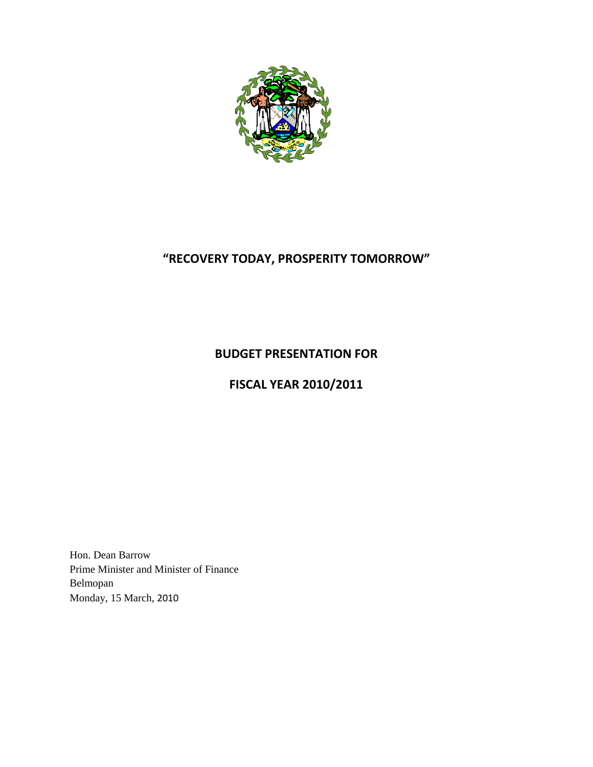

# **"RECOVERY TODAY, PROSPERITY TOMORROW"**

## **BUDGET PRESENTATION FOR**

## **FISCAL YEAR 2010/2011**

Hon. Dean Barrow Prime Minister and Minister of Finance Belmopan Monday, 15 March, 2010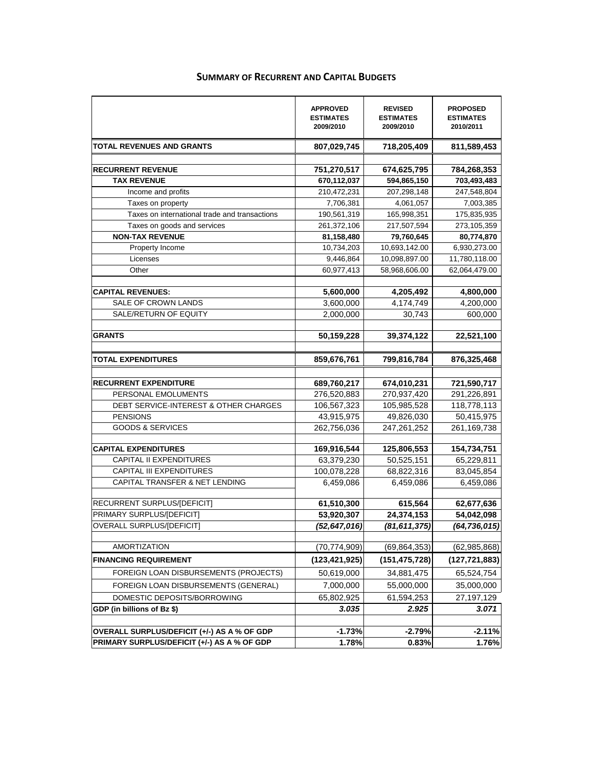|                                               | <b>APPROVED</b><br><b>ESTIMATES</b><br>2009/2010 | <b>REVISED</b><br><b>ESTIMATES</b><br>2009/2010 | <b>PROPOSED</b><br><b>ESTIMATES</b><br>2010/2011 |
|-----------------------------------------------|--------------------------------------------------|-------------------------------------------------|--------------------------------------------------|
| TOTAL REVENUES AND GRANTS                     | 807,029,745                                      | 718,205,409                                     | 811,589,453                                      |
| <b>RECURRENT REVENUE</b>                      | 751,270,517                                      | 674,625,795                                     | 784,268,353                                      |
| <b>TAX REVENUE</b>                            | 670,112,037                                      | 594,865,150                                     | 703,493,483                                      |
| Income and profits                            | 210,472,231                                      | 207,298,148                                     | 247,548,804                                      |
| Taxes on property                             | 7,706,381                                        | 4,061,057                                       | 7,003,385                                        |
| Taxes on international trade and transactions | 190,561,319                                      | 165,998,351                                     | 175,835,935                                      |
| Taxes on goods and services                   | 261,372,106                                      | 217,507,594                                     | 273,105,359                                      |
| <b>NON-TAX REVENUE</b>                        | 81,158,480                                       | 79,760,645                                      | 80,774,870                                       |
| Property Income                               | 10,734,203                                       | 10,693,142.00                                   | 6,930,273.00                                     |
| Licenses                                      | 9,446,864                                        | 10,098,897.00                                   | 11,780,118.00                                    |
| Other                                         | 60,977,413                                       | 58,968,606.00                                   | 62,064,479.00                                    |
|                                               |                                                  |                                                 |                                                  |
| <b>CAPITAL REVENUES:</b>                      | 5,600,000                                        | 4,205,492                                       | 4,800,000                                        |
| SALE OF CROWN LANDS                           | 3,600,000                                        | 4,174,749                                       | 4,200,000                                        |
| SALE/RETURN OF EQUITY                         | 2,000,000                                        | 30,743                                          | 600,000                                          |
| <b>GRANTS</b>                                 | 50.159.228                                       | 39,374,122                                      | 22,521,100                                       |
|                                               |                                                  |                                                 |                                                  |
| <b>TOTAL EXPENDITURES</b>                     | 859,676,761                                      | 799,816,784                                     | 876,325,468                                      |
| <b>RECURRENT EXPENDITURE</b>                  | 689,760,217                                      | 674,010,231                                     | 721,590,717                                      |
| PERSONAL EMOLUMENTS                           | 276,520,883                                      | 270,937,420                                     | 291,226,891                                      |
| DEBT SERVICE-INTEREST & OTHER CHARGES         | 106,567,323                                      | 105,985,528                                     | 118,778,113                                      |
| <b>PENSIONS</b>                               | 43,915,975                                       | 49,826,030                                      | 50,415,975                                       |
| <b>GOODS &amp; SERVICES</b>                   | 262,756,036                                      | 247,261,252                                     | 261,169,738                                      |
| <b>CAPITAL EXPENDITURES</b>                   | 169,916,544                                      | 125,806,553                                     | 154,734,751                                      |
| <b>CAPITAL II EXPENDITURES</b>                | 63,379,230                                       | 50,525,151                                      | 65,229,811                                       |
| <b>CAPITAL III EXPENDITURES</b>               | 100,078,228                                      | 68,822,316                                      | 83,045,854                                       |
| CAPITAL TRANSFER & NET LENDING                | 6,459,086                                        | 6,459,086                                       | 6,459,086                                        |
| RECURRENT SURPLUS/[DEFICIT]                   | 61,510,300                                       | 615,564                                         | 62,677,636                                       |
| PRIMARY SURPLUS/[DEFICIT]                     | 53,920,307                                       | 24,374,153                                      | 54,042,098                                       |
| OVERALL SURPLUS/[DEFICIT]                     | (52, 647, 016)                                   | (81, 611, 375)                                  | (64, 736, 015)                                   |
| <b>AMORTIZATION</b>                           | (70, 774, 909)                                   | (69, 864, 353)                                  | (62, 985, 868)                                   |
| <b>FINANCING REQUIREMENT</b>                  | (123, 421, 925)                                  | (151, 475, 728)                                 | (127, 721, 883)                                  |
| FOREIGN LOAN DISBURSEMENTS (PROJECTS)         | 50,619,000                                       | 34,881,475                                      | 65,524,754                                       |
| FOREIGN LOAN DISBURSEMENTS (GENERAL)          | 7,000,000                                        | 55,000,000                                      | 35,000,000                                       |
| DOMESTIC DEPOSITS/BORROWING                   | 65,802,925                                       | 61,594,253                                      | 27,197,129                                       |
| GDP (in billions of Bz \$)                    | 3.035                                            | 2.925                                           | 3.071                                            |
|                                               |                                                  |                                                 |                                                  |
| OVERALL SURPLUS/DEFICIT (+/-) AS A % OF GDP   | $-1.73%$                                         | $-2.79%$                                        | $-2.11%$                                         |
| PRIMARY SURPLUS/DEFICIT (+/-) AS A % OF GDP   | 1.78%                                            | 0.83%                                           | 1.76%                                            |

## **SUMMARY OF RECURRENT AND CAPITAL BUDGETS**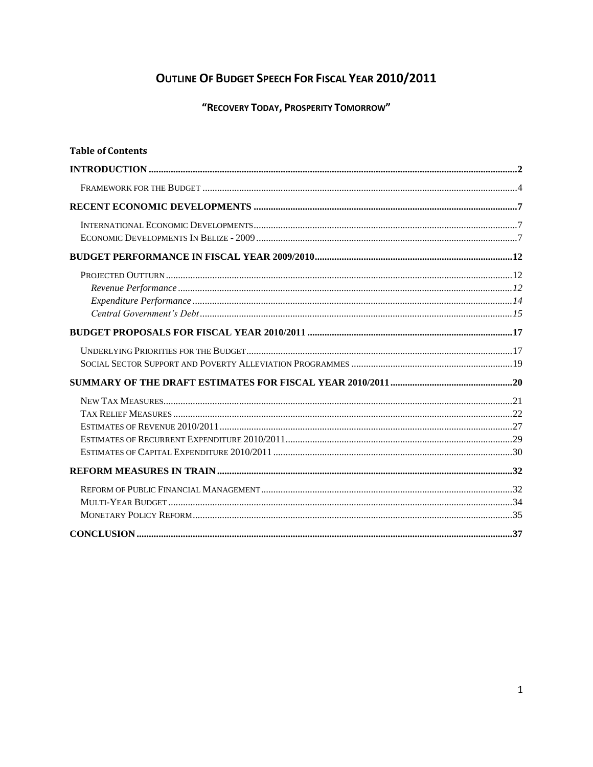## OUTLINE OF BUDGET SPEECH FOR FISCAL YEAR 2010/2011

"RECOVERY TODAY, PROSPERITY TOMORROW"

| <b>Table of Contents</b> |  |
|--------------------------|--|
|                          |  |
|                          |  |
|                          |  |
|                          |  |
|                          |  |
|                          |  |
|                          |  |
|                          |  |
|                          |  |
|                          |  |
|                          |  |
|                          |  |
|                          |  |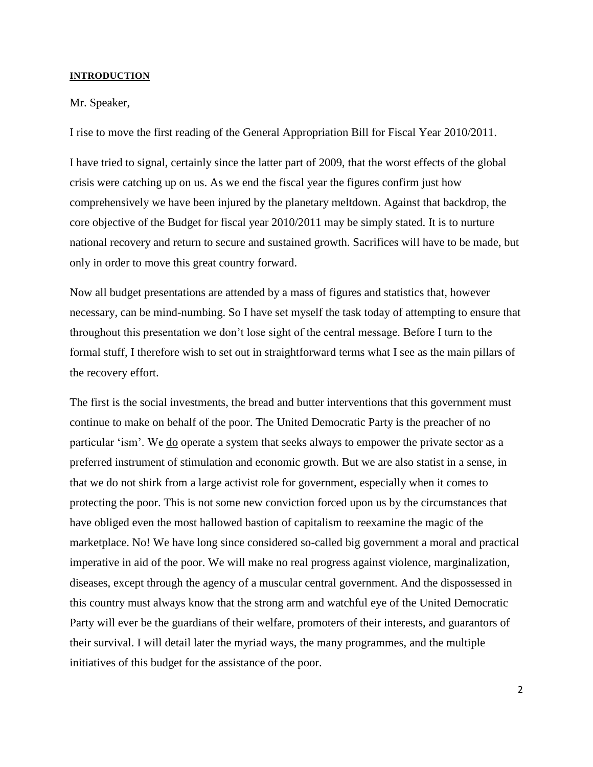#### <span id="page-3-0"></span>**INTRODUCTION**

#### Mr. Speaker,

I rise to move the first reading of the General Appropriation Bill for Fiscal Year 2010/2011.

I have tried to signal, certainly since the latter part of 2009, that the worst effects of the global crisis were catching up on us. As we end the fiscal year the figures confirm just how comprehensively we have been injured by the planetary meltdown. Against that backdrop, the core objective of the Budget for fiscal year 2010/2011 may be simply stated. It is to nurture national recovery and return to secure and sustained growth. Sacrifices will have to be made, but only in order to move this great country forward.

Now all budget presentations are attended by a mass of figures and statistics that, however necessary, can be mind-numbing. So I have set myself the task today of attempting to ensure that throughout this presentation we don"t lose sight of the central message. Before I turn to the formal stuff, I therefore wish to set out in straightforward terms what I see as the main pillars of the recovery effort.

The first is the social investments, the bread and butter interventions that this government must continue to make on behalf of the poor. The United Democratic Party is the preacher of no particular "ism". We do operate a system that seeks always to empower the private sector as a preferred instrument of stimulation and economic growth. But we are also statist in a sense, in that we do not shirk from a large activist role for government, especially when it comes to protecting the poor. This is not some new conviction forced upon us by the circumstances that have obliged even the most hallowed bastion of capitalism to reexamine the magic of the marketplace. No! We have long since considered so-called big government a moral and practical imperative in aid of the poor. We will make no real progress against violence, marginalization, diseases, except through the agency of a muscular central government. And the dispossessed in this country must always know that the strong arm and watchful eye of the United Democratic Party will ever be the guardians of their welfare, promoters of their interests, and guarantors of their survival. I will detail later the myriad ways, the many programmes, and the multiple initiatives of this budget for the assistance of the poor.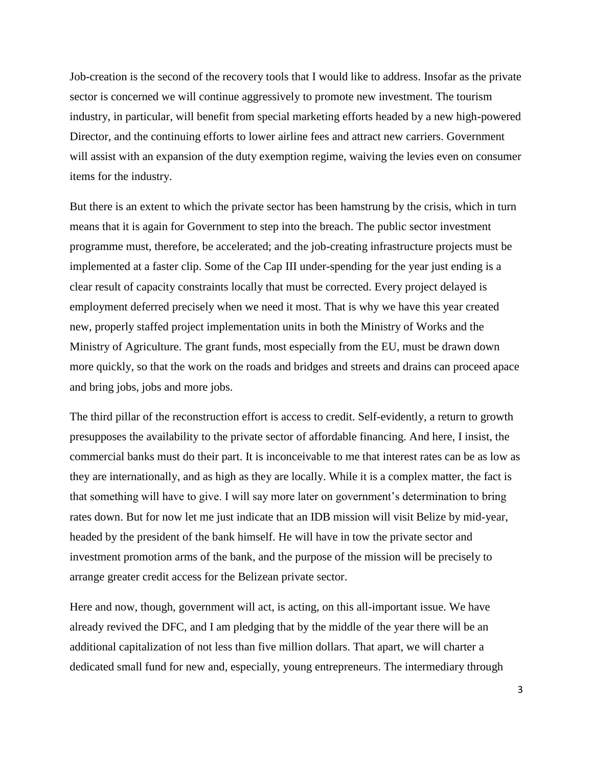Job-creation is the second of the recovery tools that I would like to address. Insofar as the private sector is concerned we will continue aggressively to promote new investment. The tourism industry, in particular, will benefit from special marketing efforts headed by a new high-powered Director, and the continuing efforts to lower airline fees and attract new carriers. Government will assist with an expansion of the duty exemption regime, waiving the levies even on consumer items for the industry.

But there is an extent to which the private sector has been hamstrung by the crisis, which in turn means that it is again for Government to step into the breach. The public sector investment programme must, therefore, be accelerated; and the job-creating infrastructure projects must be implemented at a faster clip. Some of the Cap III under-spending for the year just ending is a clear result of capacity constraints locally that must be corrected. Every project delayed is employment deferred precisely when we need it most. That is why we have this year created new, properly staffed project implementation units in both the Ministry of Works and the Ministry of Agriculture. The grant funds, most especially from the EU, must be drawn down more quickly, so that the work on the roads and bridges and streets and drains can proceed apace and bring jobs, jobs and more jobs.

The third pillar of the reconstruction effort is access to credit. Self-evidently, a return to growth presupposes the availability to the private sector of affordable financing. And here, I insist, the commercial banks must do their part. It is inconceivable to me that interest rates can be as low as they are internationally, and as high as they are locally. While it is a complex matter, the fact is that something will have to give. I will say more later on government"s determination to bring rates down. But for now let me just indicate that an IDB mission will visit Belize by mid-year, headed by the president of the bank himself. He will have in tow the private sector and investment promotion arms of the bank, and the purpose of the mission will be precisely to arrange greater credit access for the Belizean private sector.

Here and now, though, government will act, is acting, on this all-important issue. We have already revived the DFC, and I am pledging that by the middle of the year there will be an additional capitalization of not less than five million dollars. That apart, we will charter a dedicated small fund for new and, especially, young entrepreneurs. The intermediary through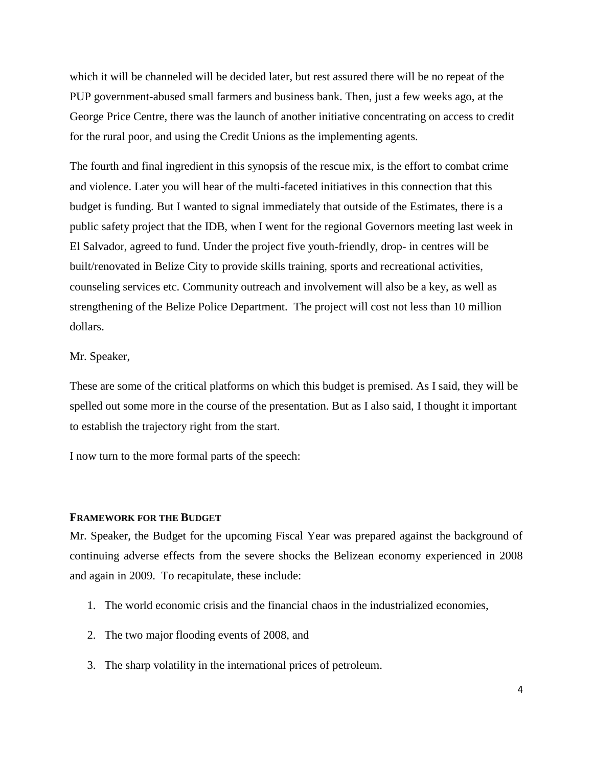which it will be channeled will be decided later, but rest assured there will be no repeat of the PUP government-abused small farmers and business bank. Then, just a few weeks ago, at the George Price Centre, there was the launch of another initiative concentrating on access to credit for the rural poor, and using the Credit Unions as the implementing agents.

The fourth and final ingredient in this synopsis of the rescue mix, is the effort to combat crime and violence. Later you will hear of the multi-faceted initiatives in this connection that this budget is funding. But I wanted to signal immediately that outside of the Estimates, there is a public safety project that the IDB, when I went for the regional Governors meeting last week in El Salvador, agreed to fund. Under the project five youth-friendly, drop- in centres will be built/renovated in Belize City to provide skills training, sports and recreational activities, counseling services etc. Community outreach and involvement will also be a key, as well as strengthening of the Belize Police Department. The project will cost not less than 10 million dollars.

## Mr. Speaker,

These are some of the critical platforms on which this budget is premised. As I said, they will be spelled out some more in the course of the presentation. But as I also said, I thought it important to establish the trajectory right from the start.

I now turn to the more formal parts of the speech:

## <span id="page-5-0"></span>**FRAMEWORK FOR THE BUDGET**

Mr. Speaker, the Budget for the upcoming Fiscal Year was prepared against the background of continuing adverse effects from the severe shocks the Belizean economy experienced in 2008 and again in 2009. To recapitulate, these include:

- 1. The world economic crisis and the financial chaos in the industrialized economies,
- 2. The two major flooding events of 2008, and
- 3. The sharp volatility in the international prices of petroleum.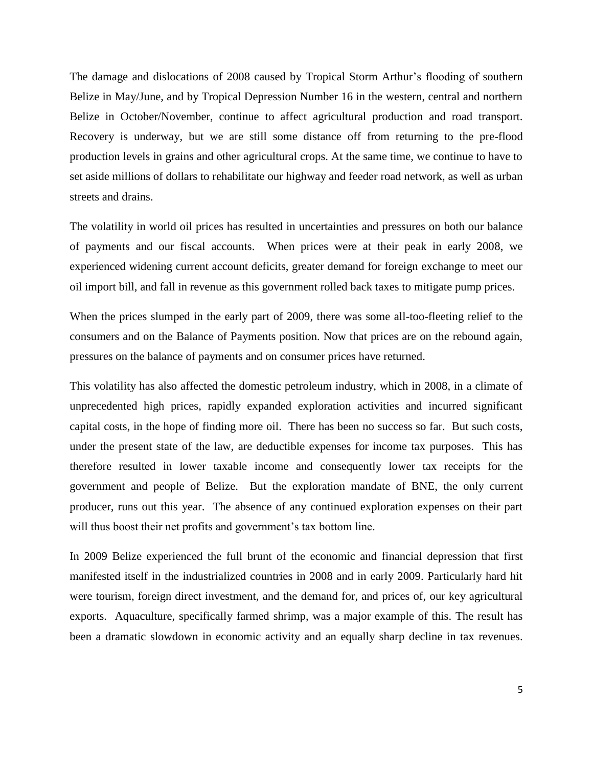The damage and dislocations of 2008 caused by Tropical Storm Arthur"s flooding of southern Belize in May/June, and by Tropical Depression Number 16 in the western, central and northern Belize in October/November, continue to affect agricultural production and road transport. Recovery is underway, but we are still some distance off from returning to the pre-flood production levels in grains and other agricultural crops. At the same time, we continue to have to set aside millions of dollars to rehabilitate our highway and feeder road network, as well as urban streets and drains.

The volatility in world oil prices has resulted in uncertainties and pressures on both our balance of payments and our fiscal accounts. When prices were at their peak in early 2008, we experienced widening current account deficits, greater demand for foreign exchange to meet our oil import bill, and fall in revenue as this government rolled back taxes to mitigate pump prices.

When the prices slumped in the early part of 2009, there was some all-too-fleeting relief to the consumers and on the Balance of Payments position. Now that prices are on the rebound again, pressures on the balance of payments and on consumer prices have returned.

This volatility has also affected the domestic petroleum industry, which in 2008, in a climate of unprecedented high prices, rapidly expanded exploration activities and incurred significant capital costs, in the hope of finding more oil. There has been no success so far. But such costs, under the present state of the law, are deductible expenses for income tax purposes. This has therefore resulted in lower taxable income and consequently lower tax receipts for the government and people of Belize. But the exploration mandate of BNE, the only current producer, runs out this year. The absence of any continued exploration expenses on their part will thus boost their net profits and government's tax bottom line.

In 2009 Belize experienced the full brunt of the economic and financial depression that first manifested itself in the industrialized countries in 2008 and in early 2009. Particularly hard hit were tourism, foreign direct investment, and the demand for, and prices of, our key agricultural exports. Aquaculture, specifically farmed shrimp, was a major example of this. The result has been a dramatic slowdown in economic activity and an equally sharp decline in tax revenues.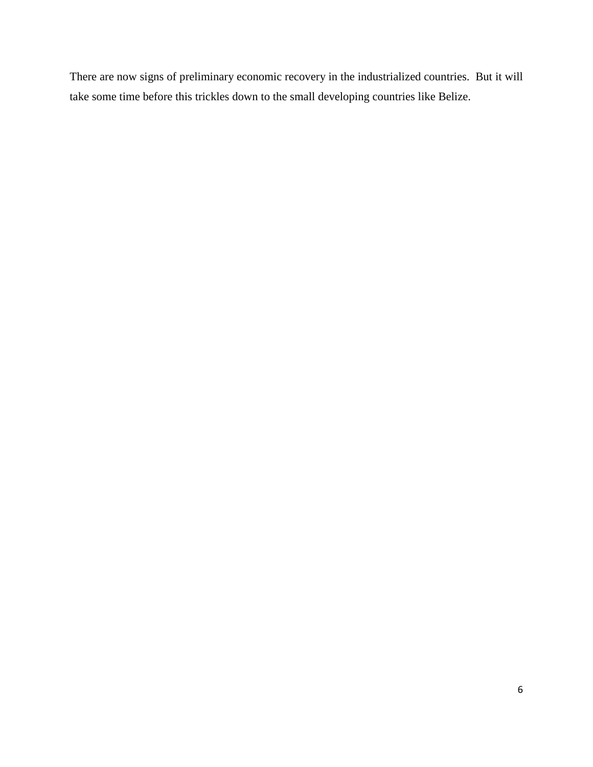There are now signs of preliminary economic recovery in the industrialized countries. But it will take some time before this trickles down to the small developing countries like Belize.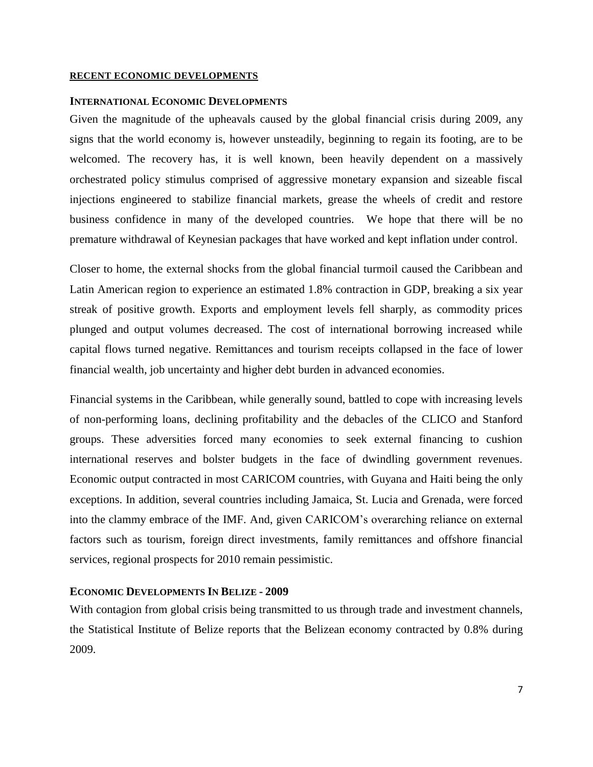#### <span id="page-8-0"></span>**RECENT ECONOMIC DEVELOPMENTS**

#### <span id="page-8-1"></span>**INTERNATIONAL ECONOMIC DEVELOPMENTS**

Given the magnitude of the upheavals caused by the global financial crisis during 2009, any signs that the world economy is, however unsteadily, beginning to regain its footing, are to be welcomed. The recovery has, it is well known, been heavily dependent on a massively orchestrated policy stimulus comprised of aggressive monetary expansion and sizeable fiscal injections engineered to stabilize financial markets, grease the wheels of credit and restore business confidence in many of the developed countries. We hope that there will be no premature withdrawal of Keynesian packages that have worked and kept inflation under control.

Closer to home, the external shocks from the global financial turmoil caused the Caribbean and Latin American region to experience an estimated 1.8% contraction in GDP, breaking a six year streak of positive growth. Exports and employment levels fell sharply, as commodity prices plunged and output volumes decreased. The cost of international borrowing increased while capital flows turned negative. Remittances and tourism receipts collapsed in the face of lower financial wealth, job uncertainty and higher debt burden in advanced economies.

Financial systems in the Caribbean, while generally sound, battled to cope with increasing levels of non-performing loans, declining profitability and the debacles of the CLICO and Stanford groups. These adversities forced many economies to seek external financing to cushion international reserves and bolster budgets in the face of dwindling government revenues. Economic output contracted in most CARICOM countries, with Guyana and Haiti being the only exceptions. In addition, several countries including Jamaica, St. Lucia and Grenada, were forced into the clammy embrace of the IMF. And, given CARICOM"s overarching reliance on external factors such as tourism, foreign direct investments, family remittances and offshore financial services, regional prospects for 2010 remain pessimistic.

### <span id="page-8-2"></span>**ECONOMIC DEVELOPMENTS IN BELIZE - 2009**

With contagion from global crisis being transmitted to us through trade and investment channels, the Statistical Institute of Belize reports that the Belizean economy contracted by 0.8% during 2009.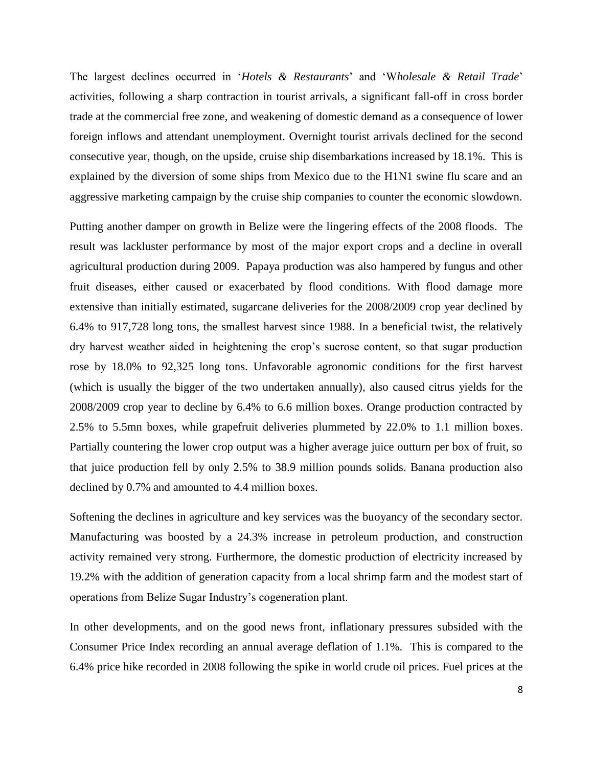The largest declines occurred in "*Hotels & Restaurants*" and "W*holesale & Retail Trade*" activities, following a sharp contraction in tourist arrivals, a significant fall-off in cross border trade at the commercial free zone, and weakening of domestic demand as a consequence of lower foreign inflows and attendant unemployment. Overnight tourist arrivals declined for the second consecutive year, though, on the upside, cruise ship disembarkations increased by 18.1%. This is explained by the diversion of some ships from Mexico due to the H1N1 swine flu scare and an aggressive marketing campaign by the cruise ship companies to counter the economic slowdown.

Putting another damper on growth in Belize were the lingering effects of the 2008 floods. The result was lackluster performance by most of the major export crops and a decline in overall agricultural production during 2009. Papaya production was also hampered by fungus and other fruit diseases, either caused or exacerbated by flood conditions. With flood damage more extensive than initially estimated, sugarcane deliveries for the 2008/2009 crop year declined by 6.4% to 917,728 long tons, the smallest harvest since 1988. In a beneficial twist, the relatively dry harvest weather aided in heightening the crop"s sucrose content, so that sugar production rose by 18.0% to 92,325 long tons. Unfavorable agronomic conditions for the first harvest (which is usually the bigger of the two undertaken annually), also caused citrus yields for the 2008/2009 crop year to decline by 6.4% to 6.6 million boxes. Orange production contracted by 2.5% to 5.5mn boxes, while grapefruit deliveries plummeted by 22.0% to 1.1 million boxes. Partially countering the lower crop output was a higher average juice outturn per box of fruit, so that juice production fell by only 2.5% to 38.9 million pounds solids. Banana production also declined by 0.7% and amounted to 4.4 million boxes.

Softening the declines in agriculture and key services was the buoyancy of the secondary sector. Manufacturing was boosted by a 24.3% increase in petroleum production, and construction activity remained very strong. Furthermore, the domestic production of electricity increased by 19.2% with the addition of generation capacity from a local shrimp farm and the modest start of operations from Belize Sugar Industry"s cogeneration plant.

In other developments, and on the good news front, inflationary pressures subsided with the Consumer Price Index recording an annual average deflation of 1.1%. This is compared to the 6.4% price hike recorded in 2008 following the spike in world crude oil prices. Fuel prices at the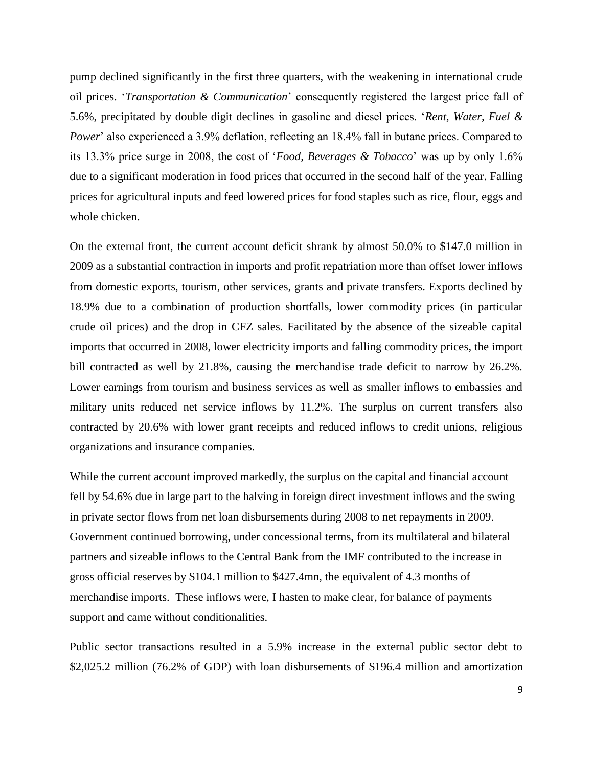pump declined significantly in the first three quarters, with the weakening in international crude oil prices. "*Transportation & Communication*" consequently registered the largest price fall of 5.6%, precipitated by double digit declines in gasoline and diesel prices. "*Rent, Water, Fuel & Power*' also experienced a 3.9% deflation, reflecting an 18.4% fall in butane prices. Compared to its 13.3% price surge in 2008, the cost of "*Food, Beverages & Tobacco*" was up by only 1.6% due to a significant moderation in food prices that occurred in the second half of the year. Falling prices for agricultural inputs and feed lowered prices for food staples such as rice, flour, eggs and whole chicken.

On the external front, the current account deficit shrank by almost 50.0% to \$147.0 million in 2009 as a substantial contraction in imports and profit repatriation more than offset lower inflows from domestic exports, tourism, other services, grants and private transfers. Exports declined by 18.9% due to a combination of production shortfalls, lower commodity prices (in particular crude oil prices) and the drop in CFZ sales. Facilitated by the absence of the sizeable capital imports that occurred in 2008, lower electricity imports and falling commodity prices, the import bill contracted as well by 21.8%, causing the merchandise trade deficit to narrow by 26.2%. Lower earnings from tourism and business services as well as smaller inflows to embassies and military units reduced net service inflows by 11.2%. The surplus on current transfers also contracted by 20.6% with lower grant receipts and reduced inflows to credit unions, religious organizations and insurance companies.

While the current account improved markedly, the surplus on the capital and financial account fell by 54.6% due in large part to the halving in foreign direct investment inflows and the swing in private sector flows from net loan disbursements during 2008 to net repayments in 2009. Government continued borrowing, under concessional terms, from its multilateral and bilateral partners and sizeable inflows to the Central Bank from the IMF contributed to the increase in gross official reserves by \$104.1 million to \$427.4mn, the equivalent of 4.3 months of merchandise imports. These inflows were, I hasten to make clear, for balance of payments support and came without conditionalities.

Public sector transactions resulted in a 5.9% increase in the external public sector debt to \$2,025.2 million (76.2% of GDP) with loan disbursements of \$196.4 million and amortization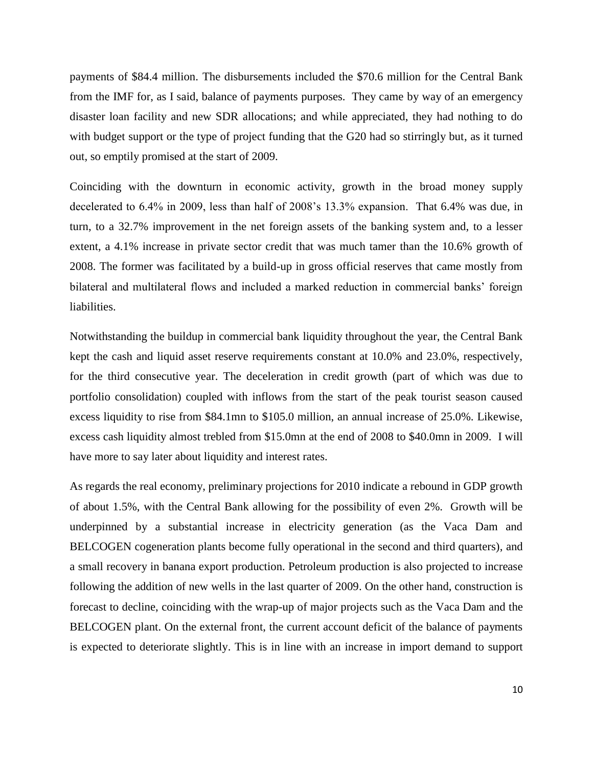payments of \$84.4 million. The disbursements included the \$70.6 million for the Central Bank from the IMF for, as I said, balance of payments purposes. They came by way of an emergency disaster loan facility and new SDR allocations; and while appreciated, they had nothing to do with budget support or the type of project funding that the G20 had so stirringly but, as it turned out, so emptily promised at the start of 2009.

Coinciding with the downturn in economic activity, growth in the broad money supply decelerated to 6.4% in 2009, less than half of 2008"s 13.3% expansion. That 6.4% was due, in turn, to a 32.7% improvement in the net foreign assets of the banking system and, to a lesser extent, a 4.1% increase in private sector credit that was much tamer than the 10.6% growth of 2008. The former was facilitated by a build-up in gross official reserves that came mostly from bilateral and multilateral flows and included a marked reduction in commercial banks' foreign liabilities.

Notwithstanding the buildup in commercial bank liquidity throughout the year, the Central Bank kept the cash and liquid asset reserve requirements constant at 10.0% and 23.0%, respectively, for the third consecutive year. The deceleration in credit growth (part of which was due to portfolio consolidation) coupled with inflows from the start of the peak tourist season caused excess liquidity to rise from \$84.1mn to \$105.0 million, an annual increase of 25.0%. Likewise, excess cash liquidity almost trebled from \$15.0mn at the end of 2008 to \$40.0mn in 2009. I will have more to say later about liquidity and interest rates.

As regards the real economy, preliminary projections for 2010 indicate a rebound in GDP growth of about 1.5%, with the Central Bank allowing for the possibility of even 2%. Growth will be underpinned by a substantial increase in electricity generation (as the Vaca Dam and BELCOGEN cogeneration plants become fully operational in the second and third quarters), and a small recovery in banana export production. Petroleum production is also projected to increase following the addition of new wells in the last quarter of 2009. On the other hand, construction is forecast to decline, coinciding with the wrap-up of major projects such as the Vaca Dam and the BELCOGEN plant. On the external front, the current account deficit of the balance of payments is expected to deteriorate slightly. This is in line with an increase in import demand to support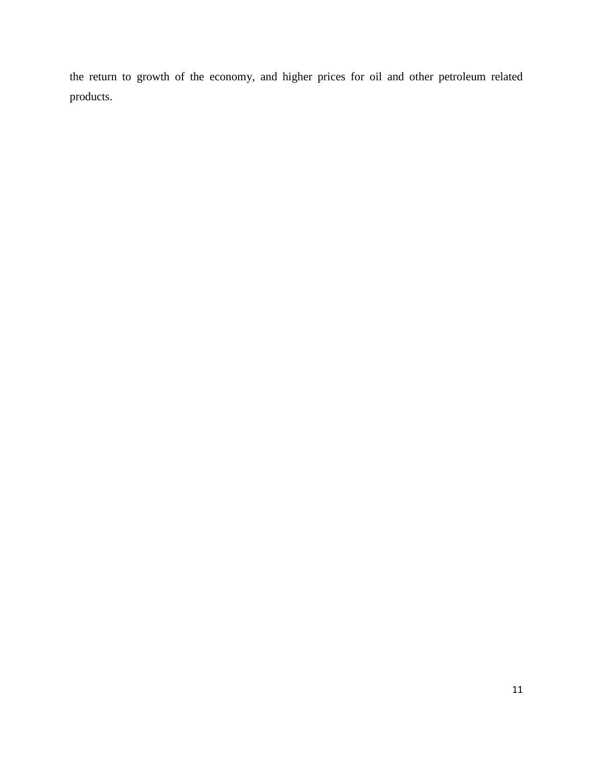the return to growth of the economy, and higher prices for oil and other petroleum related products.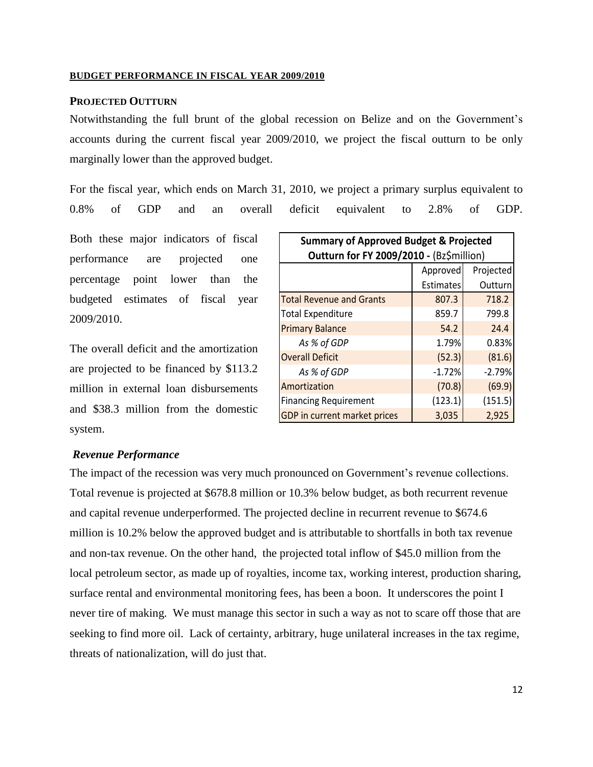#### <span id="page-13-0"></span>**BUDGET PERFORMANCE IN FISCAL YEAR 2009/2010**

## <span id="page-13-1"></span>**PROJECTED OUTTURN**

Notwithstanding the full brunt of the global recession on Belize and on the Government"s accounts during the current fiscal year 2009/2010, we project the fiscal outturn to be only marginally lower than the approved budget.

For the fiscal year, which ends on March 31, 2010, we project a primary surplus equivalent to 0.8% of GDP and an overall deficit equivalent to 2.8% of GDP.

Both these major indicators of fiscal performance are projected one percentage point lower than the budgeted estimates of fiscal year 2009/2010.

The overall deficit and the amortization are projected to be financed by \$113.2 million in external loan disbursements and \$38.3 million from the domestic system.

| <b>Summary of Approved Budget &amp; Projected</b> |           |          |
|---------------------------------------------------|-----------|----------|
| Outturn for FY 2009/2010 - (Bz\$million)          |           |          |
| Projected<br>Approved                             |           |          |
|                                                   | Estimates | Outturn  |
| <b>Total Revenue and Grants</b>                   | 807.3     | 718.2    |
| <b>Total Expenditure</b>                          | 859.7     | 799.8    |
| <b>Primary Balance</b>                            | 54.2      | 24.4     |
| As % of GDP                                       | 1.79%     | 0.83%    |
| <b>Overall Deficit</b>                            | (52.3)    | (81.6)   |
| As % of GDP                                       | $-1.72%$  | $-2.79%$ |
| Amortization                                      | (70.8)    | (69.9)   |
| <b>Financing Requirement</b>                      | (123.1)   | (151.5)  |
| GDP in current market prices                      | 3,035     | 2,925    |

#### <span id="page-13-2"></span>*Revenue Performance*

The impact of the recession was very much pronounced on Government's revenue collections. Total revenue is projected at \$678.8 million or 10.3% below budget, as both recurrent revenue and capital revenue underperformed. The projected decline in recurrent revenue to \$674.6 million is 10.2% below the approved budget and is attributable to shortfalls in both tax revenue and non-tax revenue. On the other hand, the projected total inflow of \$45.0 million from the local petroleum sector, as made up of royalties, income tax, working interest, production sharing, surface rental and environmental monitoring fees, has been a boon. It underscores the point I never tire of making. We must manage this sector in such a way as not to scare off those that are seeking to find more oil. Lack of certainty, arbitrary, huge unilateral increases in the tax regime, threats of nationalization, will do just that.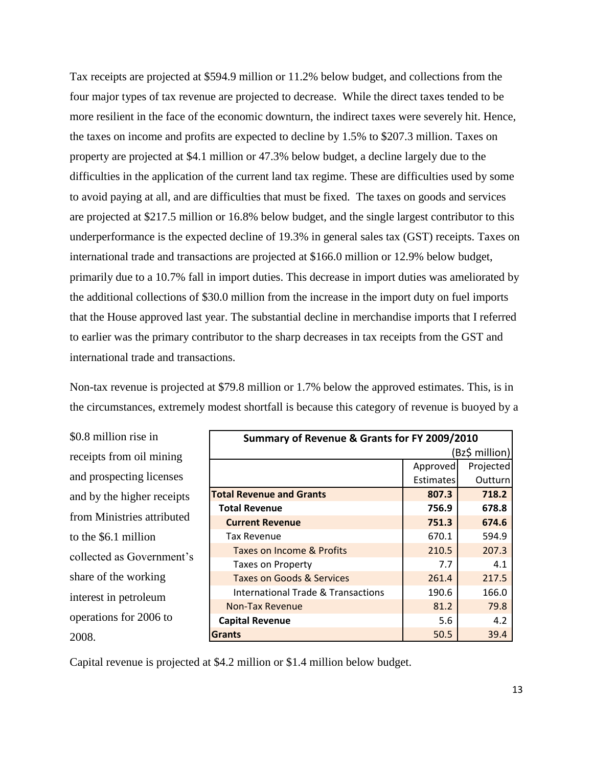Tax receipts are projected at \$594.9 million or 11.2% below budget, and collections from the four major types of tax revenue are projected to decrease. While the direct taxes tended to be more resilient in the face of the economic downturn, the indirect taxes were severely hit. Hence, the taxes on income and profits are expected to decline by 1.5% to \$207.3 million. Taxes on property are projected at \$4.1 million or 47.3% below budget, a decline largely due to the difficulties in the application of the current land tax regime. These are difficulties used by some to avoid paying at all, and are difficulties that must be fixed. The taxes on goods and services are projected at \$217.5 million or 16.8% below budget, and the single largest contributor to this underperformance is the expected decline of 19.3% in general sales tax (GST) receipts. Taxes on international trade and transactions are projected at \$166.0 million or 12.9% below budget, primarily due to a 10.7% fall in import duties. This decrease in import duties was ameliorated by the additional collections of \$30.0 million from the increase in the import duty on fuel imports that the House approved last year. The substantial decline in merchandise imports that I referred to earlier was the primary contributor to the sharp decreases in tax receipts from the GST and international trade and transactions.

Non-tax revenue is projected at \$79.8 million or 1.7% below the approved estimates. This, is in the circumstances, extremely modest shortfall is because this category of revenue is buoyed by a

\$0.8 million rise in receipts from oil mining and prospecting licenses and by the higher receipts from Ministries attributed to the \$6.1 million collected as Government"s share of the working interest in petroleum operations for 2006 to 2008.

| Summary of Revenue & Grants for FY 2009/2010 |                  |           |
|----------------------------------------------|------------------|-----------|
| Bz\$ million)                                |                  |           |
|                                              | Approved         | Projected |
|                                              | <b>Estimates</b> | Outturn   |
| <b>Total Revenue and Grants</b>              | 807.3            | 718.2     |
| <b>Total Revenue</b>                         | 756.9            | 678.8     |
| <b>Current Revenue</b>                       | 751.3            | 674.6     |
| <b>Tax Revenue</b>                           | 670.1            | 594.9     |
| Taxes on Income & Profits                    | 210.5            | 207.3     |
| <b>Taxes on Property</b>                     | 7.7              | 4.1       |
| <b>Taxes on Goods &amp; Services</b>         | 261.4            | 217.5     |
| International Trade & Transactions           | 190.6            | 166.0     |
| <b>Non-Tax Revenue</b>                       | 81.2             | 79.8      |
| <b>Capital Revenue</b>                       | 5.6              | 4.2       |
| <b>Grants</b>                                | 50.5             | 39.4      |

Capital revenue is projected at \$4.2 million or \$1.4 million below budget.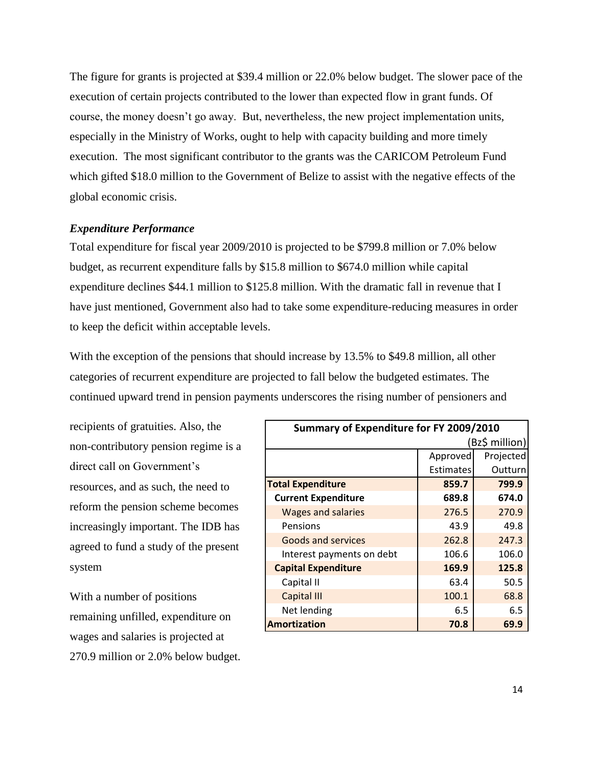The figure for grants is projected at \$39.4 million or 22.0% below budget. The slower pace of the execution of certain projects contributed to the lower than expected flow in grant funds. Of course, the money doesn"t go away. But, nevertheless, the new project implementation units, especially in the Ministry of Works, ought to help with capacity building and more timely execution. The most significant contributor to the grants was the CARICOM Petroleum Fund which gifted \$18.0 million to the Government of Belize to assist with the negative effects of the global economic crisis.

### <span id="page-15-0"></span>*Expenditure Performance*

Total expenditure for fiscal year 2009/2010 is projected to be \$799.8 million or 7.0% below budget, as recurrent expenditure falls by \$15.8 million to \$674.0 million while capital expenditure declines \$44.1 million to \$125.8 million. With the dramatic fall in revenue that I have just mentioned, Government also had to take some expenditure-reducing measures in order to keep the deficit within acceptable levels.

With the exception of the pensions that should increase by 13.5% to \$49.8 million, all other categories of recurrent expenditure are projected to fall below the budgeted estimates. The continued upward trend in pension payments underscores the rising number of pensioners and

recipients of gratuities. Also, the non-contributory pension regime is a direct call on Government"s resources, and as such, the need to reform the pension scheme becomes increasingly important. The IDB has agreed to fund a study of the present system

With a number of positions remaining unfilled, expenditure on wages and salaries is projected at 270.9 million or 2.0% below budget.

| Summary of Expenditure for FY 2009/2010 |           |           |
|-----------------------------------------|-----------|-----------|
| (Bz\$ million)                          |           |           |
|                                         | Approved  | Projected |
|                                         | Estimates | Outturn   |
| <b>Total Expenditure</b>                | 859.7     | 799.9     |
| <b>Current Expenditure</b>              | 689.8     | 674.0     |
| <b>Wages and salaries</b>               | 276.5     | 270.9     |
| Pensions                                | 43.9      | 49.8      |
| <b>Goods and services</b>               | 262.8     | 247.3     |
| Interest payments on debt               | 106.6     | 106.0     |
| <b>Capital Expenditure</b>              | 169.9     | 125.8     |
| Capital II                              | 63.4      | 50.5      |
| <b>Capital III</b>                      | 100.1     | 68.8      |
| Net lending                             | 6.5       | 6.5       |
| <b>Amortization</b>                     | 70.8      | 69.9      |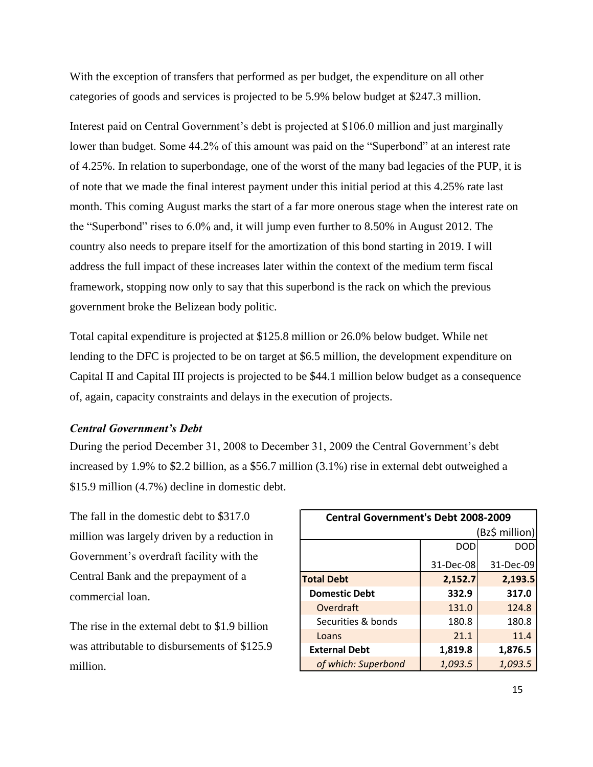With the exception of transfers that performed as per budget, the expenditure on all other categories of goods and services is projected to be 5.9% below budget at \$247.3 million.

Interest paid on Central Government's debt is projected at \$106.0 million and just marginally lower than budget. Some 44.2% of this amount was paid on the "Superbond" at an interest rate of 4.25%. In relation to superbondage, one of the worst of the many bad legacies of the PUP, it is of note that we made the final interest payment under this initial period at this 4.25% rate last month. This coming August marks the start of a far more onerous stage when the interest rate on the "Superbond" rises to 6.0% and, it will jump even further to 8.50% in August 2012. The country also needs to prepare itself for the amortization of this bond starting in 2019. I will address the full impact of these increases later within the context of the medium term fiscal framework, stopping now only to say that this superbond is the rack on which the previous government broke the Belizean body politic.

Total capital expenditure is projected at \$125.8 million or 26.0% below budget. While net lending to the DFC is projected to be on target at \$6.5 million, the development expenditure on Capital II and Capital III projects is projected to be \$44.1 million below budget as a consequence of, again, capacity constraints and delays in the execution of projects.

## <span id="page-16-0"></span>*Central Government's Debt*

During the period December 31, 2008 to December 31, 2009 the Central Government's debt increased by 1.9% to \$2.2 billion, as a \$56.7 million (3.1%) rise in external debt outweighed a \$15.9 million (4.7%) decline in domestic debt.

The fall in the domestic debt to \$317.0 million was largely driven by a reduction in Government's overdraft facility with the Central Bank and the prepayment of a commercial loan.

The rise in the external debt to \$1.9 billion was attributable to disbursements of \$125.9 million.

| <b>Central Government's Debt 2008-2009</b> |            |           |
|--------------------------------------------|------------|-----------|
| (Bz\$ million)                             |            |           |
|                                            | <b>DOD</b> | DOD       |
|                                            | 31-Dec-08  | 31-Dec-09 |
| <b>Total Debt</b>                          | 2,152.7    | 2,193.5   |
| <b>Domestic Debt</b>                       | 332.9      | 317.0     |
| Overdraft                                  | 131.0      | 124.8     |
| Securities & bonds                         | 180.8      | 180.8     |
| Loans                                      | 21.1       | 11.4      |
| <b>External Debt</b>                       | 1,819.8    | 1,876.5   |
| of which: Superbond                        | 1,093.5    | 1,093.5   |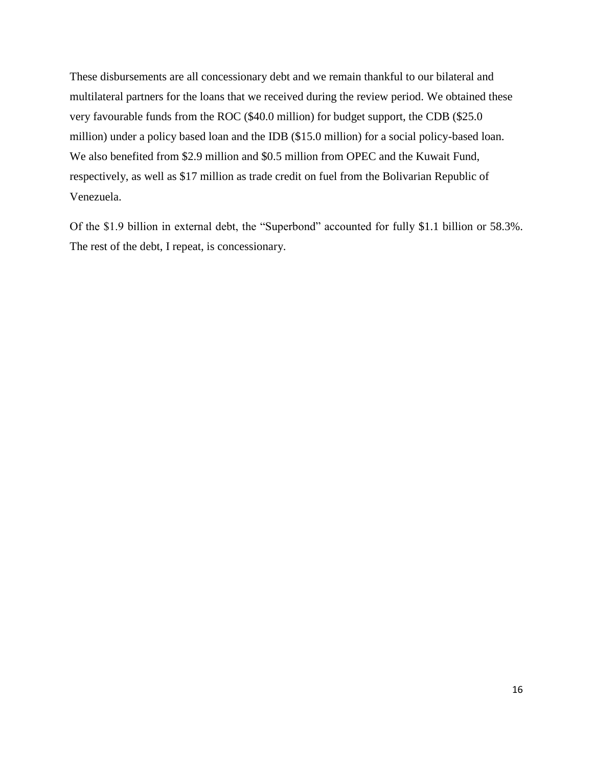These disbursements are all concessionary debt and we remain thankful to our bilateral and multilateral partners for the loans that we received during the review period. We obtained these very favourable funds from the ROC (\$40.0 million) for budget support, the CDB (\$25.0 million) under a policy based loan and the IDB (\$15.0 million) for a social policy-based loan. We also benefited from \$2.9 million and \$0.5 million from OPEC and the Kuwait Fund, respectively, as well as \$17 million as trade credit on fuel from the Bolivarian Republic of Venezuela.

Of the \$1.9 billion in external debt, the "Superbond" accounted for fully \$1.1 billion or 58.3%. The rest of the debt, I repeat, is concessionary.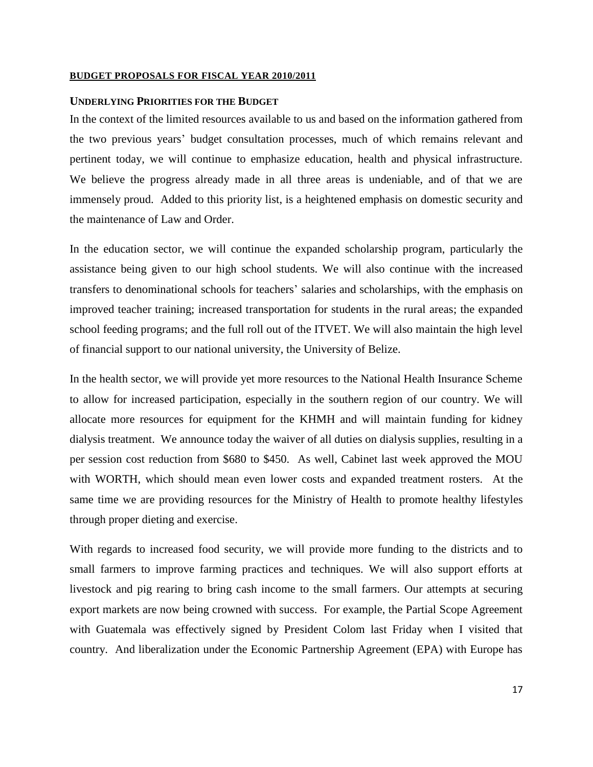#### <span id="page-18-0"></span>**BUDGET PROPOSALS FOR FISCAL YEAR 2010/2011**

### <span id="page-18-1"></span>**UNDERLYING PRIORITIES FOR THE BUDGET**

In the context of the limited resources available to us and based on the information gathered from the two previous years" budget consultation processes, much of which remains relevant and pertinent today, we will continue to emphasize education, health and physical infrastructure. We believe the progress already made in all three areas is undeniable, and of that we are immensely proud. Added to this priority list, is a heightened emphasis on domestic security and the maintenance of Law and Order.

In the education sector, we will continue the expanded scholarship program, particularly the assistance being given to our high school students. We will also continue with the increased transfers to denominational schools for teachers" salaries and scholarships, with the emphasis on improved teacher training; increased transportation for students in the rural areas; the expanded school feeding programs; and the full roll out of the ITVET. We will also maintain the high level of financial support to our national university, the University of Belize.

In the health sector, we will provide yet more resources to the National Health Insurance Scheme to allow for increased participation, especially in the southern region of our country. We will allocate more resources for equipment for the KHMH and will maintain funding for kidney dialysis treatment. We announce today the waiver of all duties on dialysis supplies, resulting in a per session cost reduction from \$680 to \$450. As well, Cabinet last week approved the MOU with WORTH, which should mean even lower costs and expanded treatment rosters. At the same time we are providing resources for the Ministry of Health to promote healthy lifestyles through proper dieting and exercise.

With regards to increased food security, we will provide more funding to the districts and to small farmers to improve farming practices and techniques. We will also support efforts at livestock and pig rearing to bring cash income to the small farmers. Our attempts at securing export markets are now being crowned with success. For example, the Partial Scope Agreement with Guatemala was effectively signed by President Colom last Friday when I visited that country. And liberalization under the Economic Partnership Agreement (EPA) with Europe has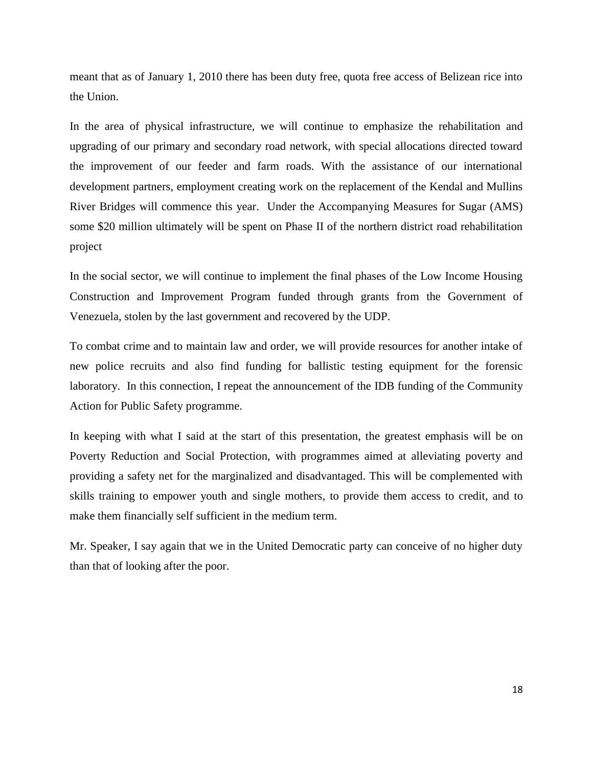meant that as of January 1, 2010 there has been duty free, quota free access of Belizean rice into the Union.

In the area of physical infrastructure, we will continue to emphasize the rehabilitation and upgrading of our primary and secondary road network, with special allocations directed toward the improvement of our feeder and farm roads. With the assistance of our international development partners, employment creating work on the replacement of the Kendal and Mullins River Bridges will commence this year. Under the Accompanying Measures for Sugar (AMS) some \$20 million ultimately will be spent on Phase II of the northern district road rehabilitation project

In the social sector, we will continue to implement the final phases of the Low Income Housing Construction and Improvement Program funded through grants from the Government of Venezuela, stolen by the last government and recovered by the UDP.

To combat crime and to maintain law and order, we will provide resources for another intake of new police recruits and also find funding for ballistic testing equipment for the forensic laboratory. In this connection, I repeat the announcement of the IDB funding of the Community Action for Public Safety programme.

In keeping with what I said at the start of this presentation, the greatest emphasis will be on Poverty Reduction and Social Protection, with programmes aimed at alleviating poverty and providing a safety net for the marginalized and disadvantaged. This will be complemented with skills training to empower youth and single mothers, to provide them access to credit, and to make them financially self sufficient in the medium term.

Mr. Speaker, I say again that we in the United Democratic party can conceive of no higher duty than that of looking after the poor.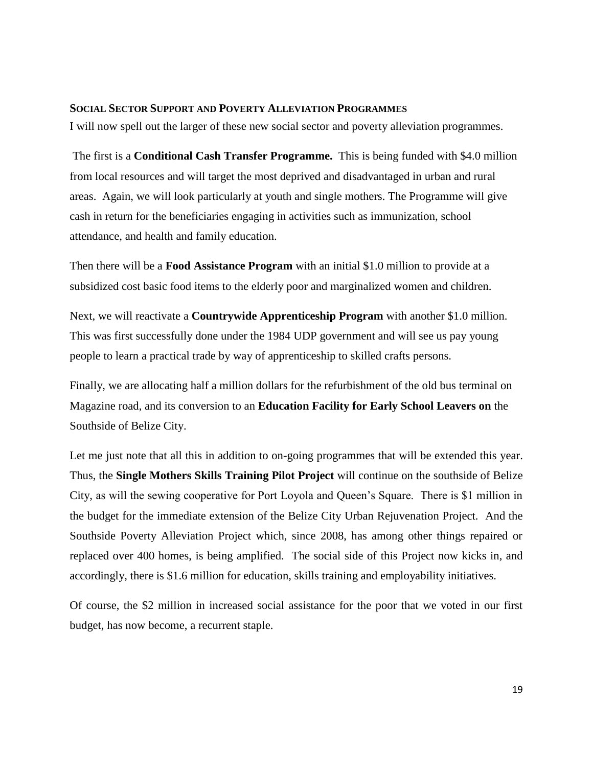#### <span id="page-20-0"></span>**SOCIAL SECTOR SUPPORT AND POVERTY ALLEVIATION PROGRAMMES**

I will now spell out the larger of these new social sector and poverty alleviation programmes.

The first is a **Conditional Cash Transfer Programme.** This is being funded with \$4.0 million from local resources and will target the most deprived and disadvantaged in urban and rural areas. Again, we will look particularly at youth and single mothers. The Programme will give cash in return for the beneficiaries engaging in activities such as immunization, school attendance, and health and family education.

Then there will be a **Food Assistance Program** with an initial \$1.0 million to provide at a subsidized cost basic food items to the elderly poor and marginalized women and children.

Next, we will reactivate a **Countrywide Apprenticeship Program** with another \$1.0 million. This was first successfully done under the 1984 UDP government and will see us pay young people to learn a practical trade by way of apprenticeship to skilled crafts persons.

Finally, we are allocating half a million dollars for the refurbishment of the old bus terminal on Magazine road, and its conversion to an **Education Facility for Early School Leavers on** the Southside of Belize City.

Let me just note that all this in addition to on-going programmes that will be extended this year. Thus, the **Single Mothers Skills Training Pilot Project** will continue on the southside of Belize City, as will the sewing cooperative for Port Loyola and Queen"s Square. There is \$1 million in the budget for the immediate extension of the Belize City Urban Rejuvenation Project. And the Southside Poverty Alleviation Project which, since 2008, has among other things repaired or replaced over 400 homes, is being amplified. The social side of this Project now kicks in, and accordingly, there is \$1.6 million for education, skills training and employability initiatives.

Of course, the \$2 million in increased social assistance for the poor that we voted in our first budget, has now become, a recurrent staple.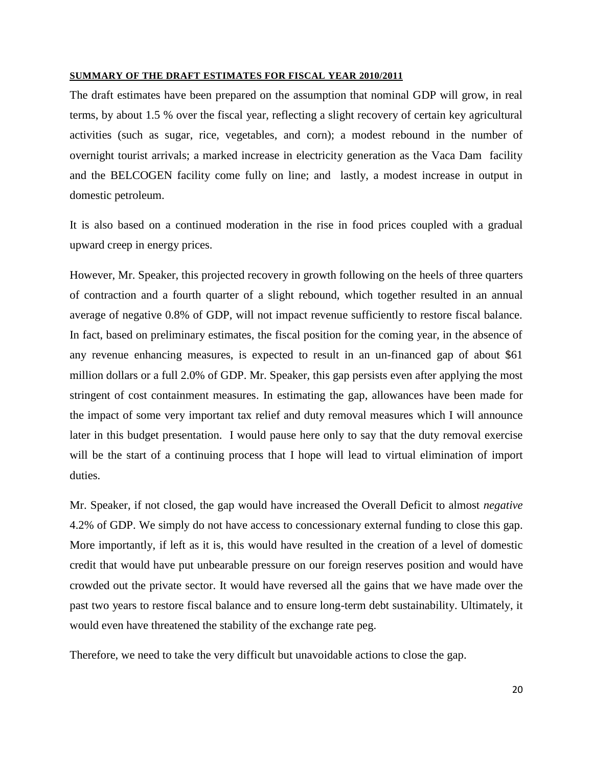#### <span id="page-21-0"></span>**SUMMARY OF THE DRAFT ESTIMATES FOR FISCAL YEAR 2010/2011**

The draft estimates have been prepared on the assumption that nominal GDP will grow, in real terms, by about 1.5 % over the fiscal year, reflecting a slight recovery of certain key agricultural activities (such as sugar, rice, vegetables, and corn); a modest rebound in the number of overnight tourist arrivals; a marked increase in electricity generation as the Vaca Dam facility and the BELCOGEN facility come fully on line; and lastly, a modest increase in output in domestic petroleum.

It is also based on a continued moderation in the rise in food prices coupled with a gradual upward creep in energy prices.

However, Mr. Speaker, this projected recovery in growth following on the heels of three quarters of contraction and a fourth quarter of a slight rebound, which together resulted in an annual average of negative 0.8% of GDP, will not impact revenue sufficiently to restore fiscal balance. In fact, based on preliminary estimates, the fiscal position for the coming year, in the absence of any revenue enhancing measures, is expected to result in an un-financed gap of about \$61 million dollars or a full 2.0% of GDP. Mr. Speaker, this gap persists even after applying the most stringent of cost containment measures. In estimating the gap, allowances have been made for the impact of some very important tax relief and duty removal measures which I will announce later in this budget presentation. I would pause here only to say that the duty removal exercise will be the start of a continuing process that I hope will lead to virtual elimination of import duties.

Mr. Speaker, if not closed, the gap would have increased the Overall Deficit to almost *negative*  4.2% of GDP. We simply do not have access to concessionary external funding to close this gap. More importantly, if left as it is, this would have resulted in the creation of a level of domestic credit that would have put unbearable pressure on our foreign reserves position and would have crowded out the private sector. It would have reversed all the gains that we have made over the past two years to restore fiscal balance and to ensure long-term debt sustainability. Ultimately, it would even have threatened the stability of the exchange rate peg.

Therefore, we need to take the very difficult but unavoidable actions to close the gap.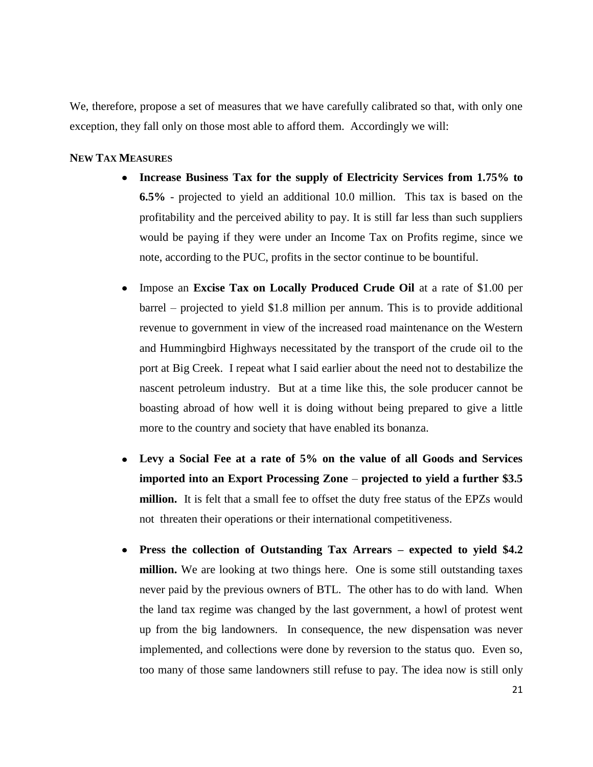We, therefore, propose a set of measures that we have carefully calibrated so that, with only one exception, they fall only on those most able to afford them. Accordingly we will:

## <span id="page-22-0"></span>**NEW TAX MEASURES**

- **Increase Business Tax for the supply of Electricity Services from 1.75% to 6.5%** - projected to yield an additional 10.0 million. This tax is based on the profitability and the perceived ability to pay. It is still far less than such suppliers would be paying if they were under an Income Tax on Profits regime, since we note, according to the PUC, profits in the sector continue to be bountiful.
- Impose an **Excise Tax on Locally Produced Crude Oil** at a rate of \$1.00 per  $\bullet$ barrel – projected to yield \$1.8 million per annum. This is to provide additional revenue to government in view of the increased road maintenance on the Western and Hummingbird Highways necessitated by the transport of the crude oil to the port at Big Creek. I repeat what I said earlier about the need not to destabilize the nascent petroleum industry. But at a time like this, the sole producer cannot be boasting abroad of how well it is doing without being prepared to give a little more to the country and society that have enabled its bonanza.
- **Levy a Social Fee at a rate of 5% on the value of all Goods and Services**   $\bullet$ **imported into an Export Processing Zone** – **projected to yield a further \$3.5 million.** It is felt that a small fee to offset the duty free status of the EPZs would not threaten their operations or their international competitiveness.
- **Press the collection of Outstanding Tax Arrears – expected to yield \$4.2**   $\bullet$ **million.** We are looking at two things here. One is some still outstanding taxes never paid by the previous owners of BTL. The other has to do with land. When the land tax regime was changed by the last government, a howl of protest went up from the big landowners. In consequence, the new dispensation was never implemented, and collections were done by reversion to the status quo. Even so, too many of those same landowners still refuse to pay. The idea now is still only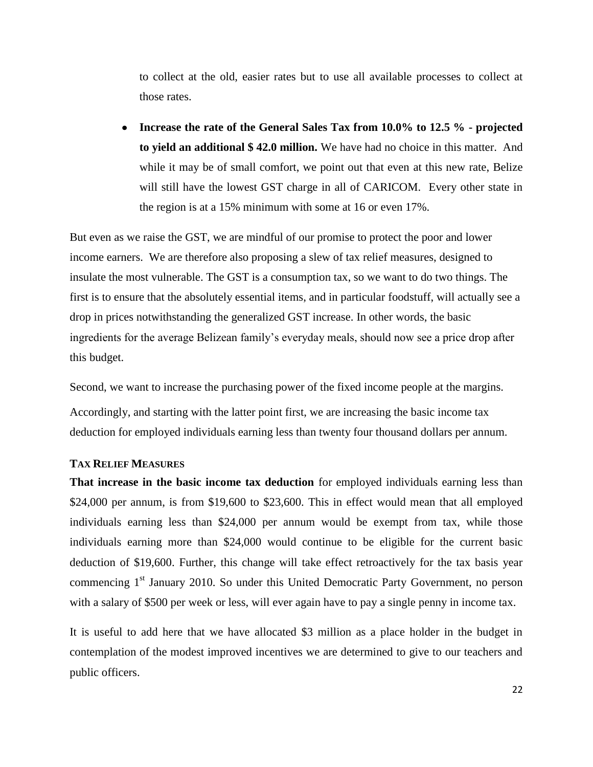to collect at the old, easier rates but to use all available processes to collect at those rates.

**Increase the rate of the General Sales Tax from 10.0% to 12.5 % - projected to yield an additional \$ 42.0 million.** We have had no choice in this matter. And while it may be of small comfort, we point out that even at this new rate, Belize will still have the lowest GST charge in all of CARICOM. Every other state in the region is at a 15% minimum with some at 16 or even 17%.

But even as we raise the GST, we are mindful of our promise to protect the poor and lower income earners. We are therefore also proposing a slew of tax relief measures, designed to insulate the most vulnerable. The GST is a consumption tax, so we want to do two things. The first is to ensure that the absolutely essential items, and in particular foodstuff, will actually see a drop in prices notwithstanding the generalized GST increase. In other words, the basic ingredients for the average Belizean family"s everyday meals, should now see a price drop after this budget.

Second, we want to increase the purchasing power of the fixed income people at the margins.

Accordingly, and starting with the latter point first, we are increasing the basic income tax deduction for employed individuals earning less than twenty four thousand dollars per annum.

## <span id="page-23-0"></span>**TAX RELIEF MEASURES**

**That increase in the basic income tax deduction** for employed individuals earning less than \$24,000 per annum, is from \$19,600 to \$23,600. This in effect would mean that all employed individuals earning less than \$24,000 per annum would be exempt from tax, while those individuals earning more than \$24,000 would continue to be eligible for the current basic deduction of \$19,600. Further, this change will take effect retroactively for the tax basis year commencing 1<sup>st</sup> January 2010. So under this United Democratic Party Government, no person with a salary of \$500 per week or less, will ever again have to pay a single penny in income tax.

It is useful to add here that we have allocated \$3 million as a place holder in the budget in contemplation of the modest improved incentives we are determined to give to our teachers and public officers.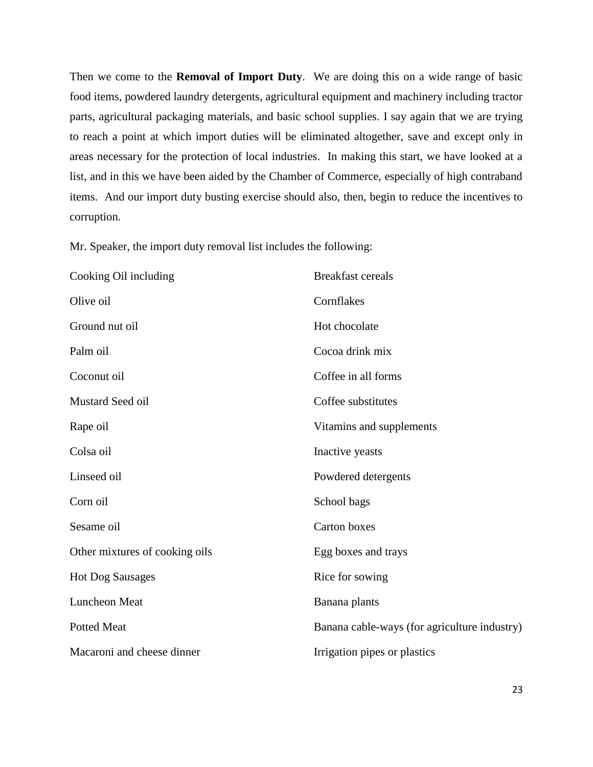Then we come to the **Removal of Import Duty**. We are doing this on a wide range of basic food items, powdered laundry detergents, agricultural equipment and machinery including tractor parts, agricultural packaging materials, and basic school supplies. I say again that we are trying to reach a point at which import duties will be eliminated altogether, save and except only in areas necessary for the protection of local industries. In making this start, we have looked at a list, and in this we have been aided by the Chamber of Commerce, especially of high contraband items. And our import duty busting exercise should also, then, begin to reduce the incentives to corruption.

Mr. Speaker, the import duty removal list includes the following:

| Cooking Oil including          | <b>Breakfast cereals</b>                     |
|--------------------------------|----------------------------------------------|
| Olive oil                      | Cornflakes                                   |
| Ground nut oil                 | Hot chocolate                                |
| Palm oil                       | Cocoa drink mix                              |
| Coconut oil                    | Coffee in all forms                          |
| Mustard Seed oil               | Coffee substitutes                           |
| Rape oil                       | Vitamins and supplements                     |
| Colsa oil                      | Inactive yeasts                              |
| Linseed oil                    | Powdered detergents                          |
| Corn oil                       | School bags                                  |
| Sesame oil                     | <b>Carton</b> boxes                          |
| Other mixtures of cooking oils | Egg boxes and trays                          |
| <b>Hot Dog Sausages</b>        | Rice for sowing                              |
| Luncheon Meat                  | Banana plants                                |
| <b>Potted Meat</b>             | Banana cable-ways (for agriculture industry) |
| Macaroni and cheese dinner     | Irrigation pipes or plastics                 |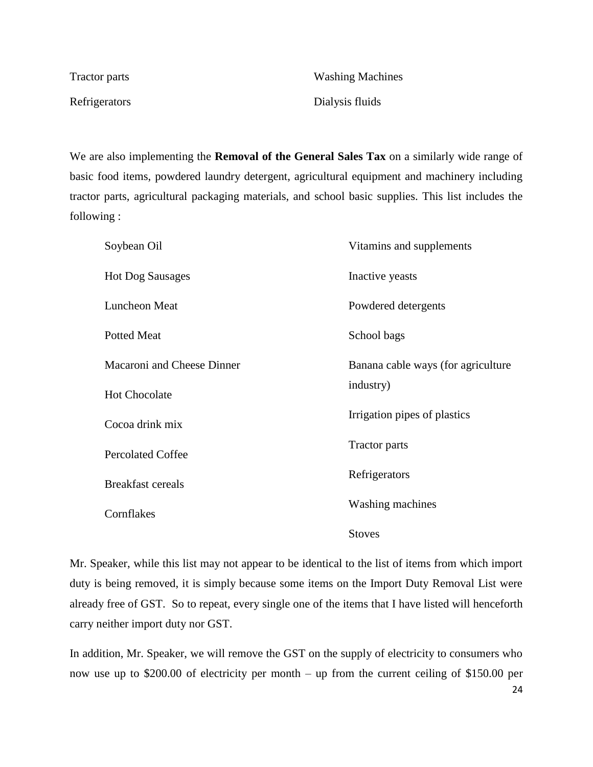| Tractor parts | <b>Washing Machines</b> |
|---------------|-------------------------|
| Refrigerators | Dialysis fluids         |

We are also implementing the **Removal of the General Sales Tax** on a similarly wide range of basic food items, powdered laundry detergent, agricultural equipment and machinery including tractor parts, agricultural packaging materials, and school basic supplies. This list includes the following :

| Soybean Oil                | Vitamins and supplements           |
|----------------------------|------------------------------------|
| <b>Hot Dog Sausages</b>    | Inactive yeasts                    |
| Luncheon Meat              | Powdered detergents                |
| <b>Potted Meat</b>         | School bags                        |
| Macaroni and Cheese Dinner | Banana cable ways (for agriculture |
| <b>Hot Chocolate</b>       | industry)                          |
| Cocoa drink mix            | Irrigation pipes of plastics       |
| <b>Percolated Coffee</b>   | Tractor parts                      |
| <b>Breakfast cereals</b>   | Refrigerators                      |
| Cornflakes                 | <b>Washing machines</b>            |
|                            | <b>Stoves</b>                      |

Mr. Speaker, while this list may not appear to be identical to the list of items from which import duty is being removed, it is simply because some items on the Import Duty Removal List were already free of GST. So to repeat, every single one of the items that I have listed will henceforth carry neither import duty nor GST.

In addition, Mr. Speaker, we will remove the GST on the supply of electricity to consumers who now use up to \$200.00 of electricity per month – up from the current ceiling of \$150.00 per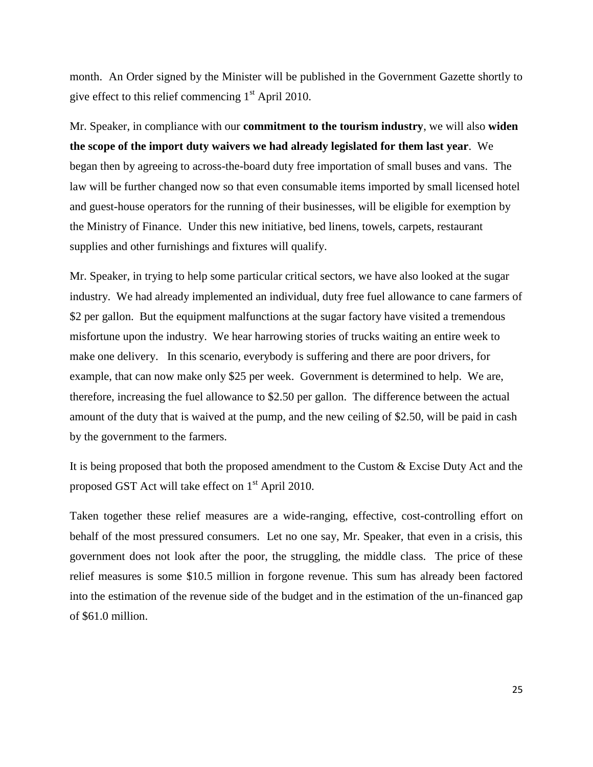month. An Order signed by the Minister will be published in the Government Gazette shortly to give effect to this relief commencing  $1<sup>st</sup>$  April 2010.

Mr. Speaker, in compliance with our **commitment to the tourism industry**, we will also **widen the scope of the import duty waivers we had already legislated for them last year**. We began then by agreeing to across-the-board duty free importation of small buses and vans. The law will be further changed now so that even consumable items imported by small licensed hotel and guest-house operators for the running of their businesses, will be eligible for exemption by the Ministry of Finance. Under this new initiative, bed linens, towels, carpets, restaurant supplies and other furnishings and fixtures will qualify.

Mr. Speaker, in trying to help some particular critical sectors, we have also looked at the sugar industry. We had already implemented an individual, duty free fuel allowance to cane farmers of \$2 per gallon. But the equipment malfunctions at the sugar factory have visited a tremendous misfortune upon the industry. We hear harrowing stories of trucks waiting an entire week to make one delivery. In this scenario, everybody is suffering and there are poor drivers, for example, that can now make only \$25 per week. Government is determined to help. We are, therefore, increasing the fuel allowance to \$2.50 per gallon. The difference between the actual amount of the duty that is waived at the pump, and the new ceiling of \$2.50, will be paid in cash by the government to the farmers.

It is being proposed that both the proposed amendment to the Custom & Excise Duty Act and the proposed GST Act will take effect on  $1<sup>st</sup>$  April 2010.

Taken together these relief measures are a wide-ranging, effective, cost-controlling effort on behalf of the most pressured consumers. Let no one say, Mr. Speaker, that even in a crisis, this government does not look after the poor, the struggling, the middle class. The price of these relief measures is some \$10.5 million in forgone revenue. This sum has already been factored into the estimation of the revenue side of the budget and in the estimation of the un-financed gap of \$61.0 million.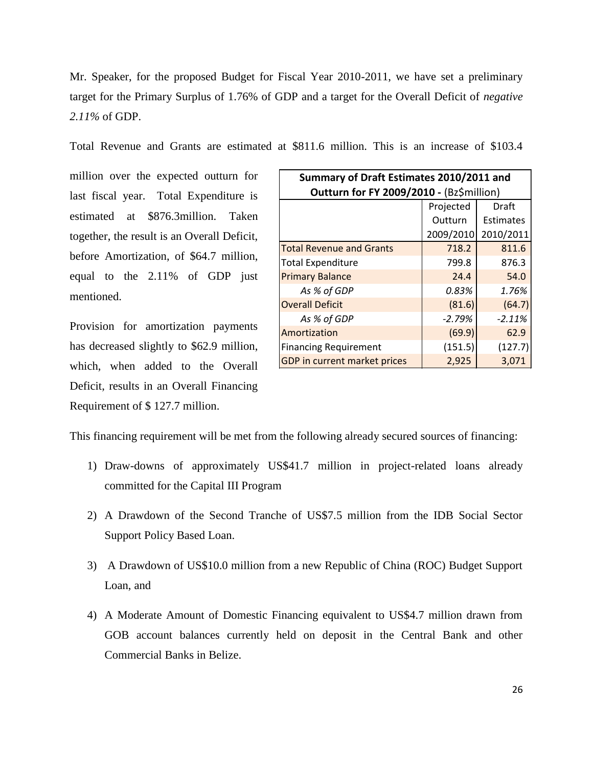Mr. Speaker, for the proposed Budget for Fiscal Year 2010-2011, we have set a preliminary target for the Primary Surplus of 1.76% of GDP and a target for the Overall Deficit of *negative 2.11%* of GDP.

Total Revenue and Grants are estimated at \$811.6 million. This is an increase of \$103.4

million over the expected outturn for last fiscal year. Total Expenditure is estimated at \$876.3million. Taken together, the result is an Overall Deficit, before Amortization, of \$64.7 million, equal to the 2.11% of GDP just mentioned.

Provision for amortization payments has decreased slightly to \$62.9 million, which, when added to the Overall Deficit, results in an Overall Financing Requirement of \$ 127.7 million.

| Summary of Draft Estimates 2010/2011 and |           |           |
|------------------------------------------|-----------|-----------|
| Outturn for FY 2009/2010 - (Bz\$million) |           |           |
| Projected<br>Draft                       |           |           |
|                                          | Outturn   | Estimates |
|                                          | 2009/2010 | 2010/2011 |
| <b>Total Revenue and Grants</b>          | 718.2     | 811.6     |
| <b>Total Expenditure</b>                 | 799.8     | 876.3     |
| <b>Primary Balance</b>                   | 24.4      | 54.0      |
| As % of GDP                              | 0.83%     | 1.76%     |
| <b>Overall Deficit</b>                   | (81.6)    | (64.7)    |
| As % of GDP                              | $-2.79%$  | $-2.11%$  |
| Amortization                             | (69.9)    | 62.9      |
| <b>Financing Requirement</b>             | (151.5)   | (127.7)   |
| GDP in current market prices             | 2,925     | 3,071     |

This financing requirement will be met from the following already secured sources of financing:

- 1) Draw-downs of approximately US\$41.7 million in project-related loans already committed for the Capital III Program
- 2) A Drawdown of the Second Tranche of US\$7.5 million from the IDB Social Sector Support Policy Based Loan.
- 3) A Drawdown of US\$10.0 million from a new Republic of China (ROC) Budget Support Loan, and
- 4) A Moderate Amount of Domestic Financing equivalent to US\$4.7 million drawn from GOB account balances currently held on deposit in the Central Bank and other Commercial Banks in Belize.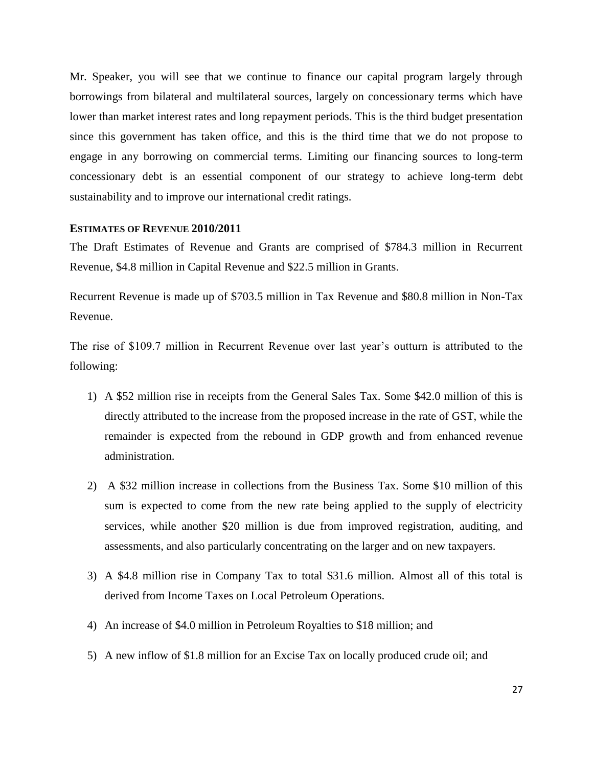Mr. Speaker, you will see that we continue to finance our capital program largely through borrowings from bilateral and multilateral sources, largely on concessionary terms which have lower than market interest rates and long repayment periods. This is the third budget presentation since this government has taken office, and this is the third time that we do not propose to engage in any borrowing on commercial terms. Limiting our financing sources to long-term concessionary debt is an essential component of our strategy to achieve long-term debt sustainability and to improve our international credit ratings.

#### <span id="page-28-0"></span>**ESTIMATES OF REVENUE 2010/2011**

The Draft Estimates of Revenue and Grants are comprised of \$784.3 million in Recurrent Revenue, \$4.8 million in Capital Revenue and \$22.5 million in Grants.

Recurrent Revenue is made up of \$703.5 million in Tax Revenue and \$80.8 million in Non-Tax Revenue.

The rise of \$109.7 million in Recurrent Revenue over last year's outturn is attributed to the following:

- 1) A \$52 million rise in receipts from the General Sales Tax. Some \$42.0 million of this is directly attributed to the increase from the proposed increase in the rate of GST, while the remainder is expected from the rebound in GDP growth and from enhanced revenue administration.
- 2) A \$32 million increase in collections from the Business Tax. Some \$10 million of this sum is expected to come from the new rate being applied to the supply of electricity services, while another \$20 million is due from improved registration, auditing, and assessments, and also particularly concentrating on the larger and on new taxpayers.
- 3) A \$4.8 million rise in Company Tax to total \$31.6 million. Almost all of this total is derived from Income Taxes on Local Petroleum Operations.
- 4) An increase of \$4.0 million in Petroleum Royalties to \$18 million; and
- 5) A new inflow of \$1.8 million for an Excise Tax on locally produced crude oil; and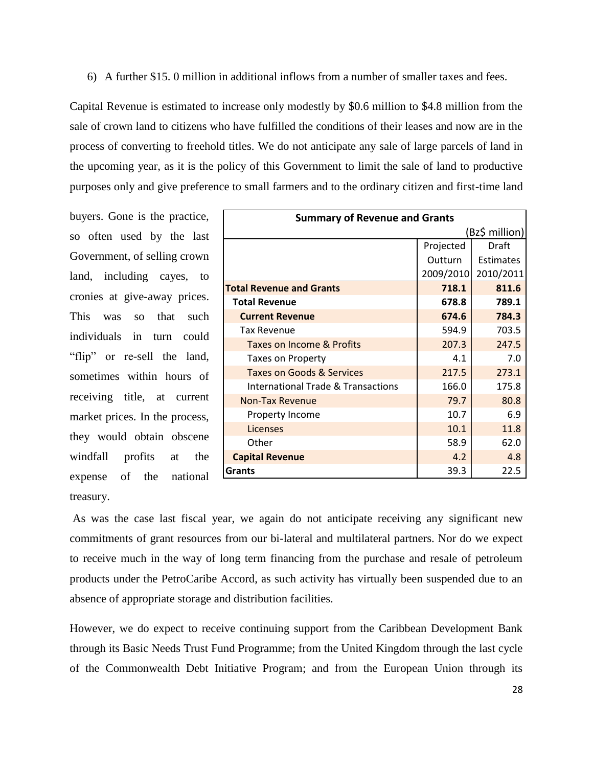6) A further \$15. 0 million in additional inflows from a number of smaller taxes and fees.

Capital Revenue is estimated to increase only modestly by \$0.6 million to \$4.8 million from the sale of crown land to citizens who have fulfilled the conditions of their leases and now are in the process of converting to freehold titles. We do not anticipate any sale of large parcels of land in the upcoming year, as it is the policy of this Government to limit the sale of land to productive purposes only and give preference to small farmers and to the ordinary citizen and first-time land

buyers. Gone is the practice, so often used by the last Government, of selling crown land, including cayes, to cronies at give-away prices. This was so that such individuals in turn could "flip" or re-sell the land, sometimes within hours of receiving title, at current market prices. In the process, they would obtain obscene windfall profits at the expense of the national treasury.

| <b>Summary of Revenue and Grants</b> |           |                  |
|--------------------------------------|-----------|------------------|
| (Bz\$ million)                       |           |                  |
|                                      | Projected | Draft            |
|                                      | Outturn   | <b>Estimates</b> |
|                                      | 2009/2010 | 2010/2011        |
| <b>Total Revenue and Grants</b>      | 718.1     | 811.6            |
| <b>Total Revenue</b>                 | 678.8     | 789.1            |
| <b>Current Revenue</b>               | 674.6     | 784.3            |
| <b>Tax Revenue</b>                   | 594.9     | 703.5            |
| Taxes on Income & Profits            | 207.3     | 247.5            |
| <b>Taxes on Property</b>             | 4.1       | 7.0              |
| Taxes on Goods & Services            | 217.5     | 273.1            |
| International Trade & Transactions   | 166.0     | 175.8            |
| <b>Non-Tax Revenue</b>               | 79.7      | 80.8             |
| Property Income                      | 10.7      | 6.9              |
| Licenses                             | 10.1      | 11.8             |
| Other                                | 58.9      | 62.0             |
| <b>Capital Revenue</b>               | 4.2       | 4.8              |
| Grants                               | 39.3      | 22.5             |

As was the case last fiscal year, we again do not anticipate receiving any significant new commitments of grant resources from our bi-lateral and multilateral partners. Nor do we expect to receive much in the way of long term financing from the purchase and resale of petroleum products under the PetroCaribe Accord, as such activity has virtually been suspended due to an absence of appropriate storage and distribution facilities.

However, we do expect to receive continuing support from the Caribbean Development Bank through its Basic Needs Trust Fund Programme; from the United Kingdom through the last cycle of the Commonwealth Debt Initiative Program; and from the European Union through its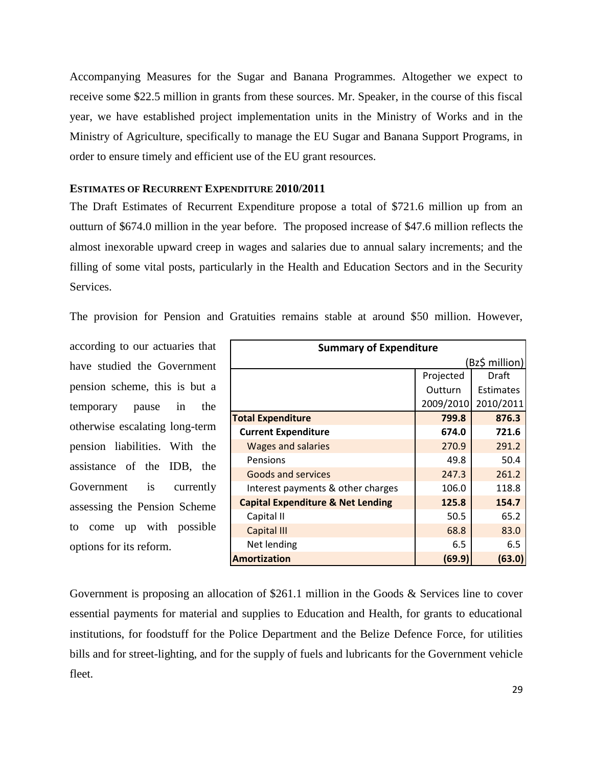Accompanying Measures for the Sugar and Banana Programmes. Altogether we expect to receive some \$22.5 million in grants from these sources. Mr. Speaker, in the course of this fiscal year, we have established project implementation units in the Ministry of Works and in the Ministry of Agriculture, specifically to manage the EU Sugar and Banana Support Programs, in order to ensure timely and efficient use of the EU grant resources.

## <span id="page-30-0"></span>**ESTIMATES OF RECURRENT EXPENDITURE 2010/2011**

The Draft Estimates of Recurrent Expenditure propose a total of \$721.6 million up from an outturn of \$674.0 million in the year before. The proposed increase of \$47.6 million reflects the almost inexorable upward creep in wages and salaries due to annual salary increments; and the filling of some vital posts, particularly in the Health and Education Sectors and in the Security Services.

The provision for Pension and Gratuities remains stable at around \$50 million. However,

according to our actuaries that have studied the Government pension scheme, this is but a temporary pause in the otherwise escalating long-term pension liabilities. With the assistance of the IDB, the Government is currently assessing the Pension Scheme to come up with possible options for its reform.

| <b>Summary of Expenditure</b>                |           |                  |
|----------------------------------------------|-----------|------------------|
|                                              |           | (Bz\$ million)   |
|                                              | Projected | Draft            |
|                                              | Outturn   | <b>Estimates</b> |
|                                              | 2009/2010 | 2010/2011        |
| <b>Total Expenditure</b>                     | 799.8     | 876.3            |
| <b>Current Expenditure</b>                   | 674.0     | 721.6            |
| <b>Wages and salaries</b>                    | 270.9     | 291.2            |
| Pensions                                     | 49.8      | 50.4             |
| <b>Goods and services</b>                    | 247.3     | 261.2            |
| Interest payments & other charges            | 106.0     | 118.8            |
| <b>Capital Expenditure &amp; Net Lending</b> | 125.8     | 154.7            |
| Capital II                                   | 50.5      | 65.2             |
| <b>Capital III</b>                           | 68.8      | 83.0             |
| Net lending                                  | 6.5       | 6.5              |
| Amortization                                 | (69.9)    | (63.0)           |

Government is proposing an allocation of \$261.1 million in the Goods & Services line to cover essential payments for material and supplies to Education and Health, for grants to educational institutions, for foodstuff for the Police Department and the Belize Defence Force, for utilities bills and for street-lighting, and for the supply of fuels and lubricants for the Government vehicle fleet.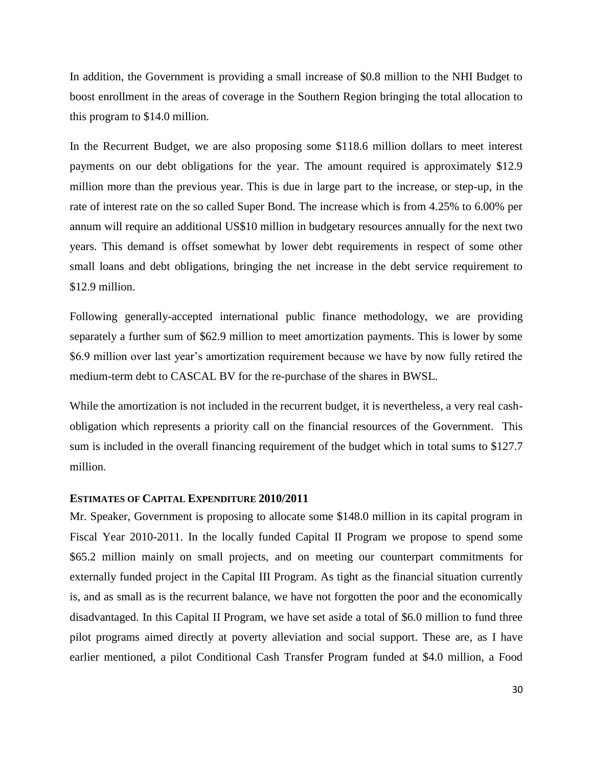In addition, the Government is providing a small increase of \$0.8 million to the NHI Budget to boost enrollment in the areas of coverage in the Southern Region bringing the total allocation to this program to \$14.0 million.

In the Recurrent Budget, we are also proposing some \$118.6 million dollars to meet interest payments on our debt obligations for the year. The amount required is approximately \$12.9 million more than the previous year. This is due in large part to the increase, or step-up, in the rate of interest rate on the so called Super Bond. The increase which is from 4.25% to 6.00% per annum will require an additional US\$10 million in budgetary resources annually for the next two years. This demand is offset somewhat by lower debt requirements in respect of some other small loans and debt obligations, bringing the net increase in the debt service requirement to \$12.9 million.

Following generally-accepted international public finance methodology, we are providing separately a further sum of \$62.9 million to meet amortization payments. This is lower by some \$6.9 million over last year's amortization requirement because we have by now fully retired the medium-term debt to CASCAL BV for the re-purchase of the shares in BWSL.

While the amortization is not included in the recurrent budget, it is nevertheless, a very real cashobligation which represents a priority call on the financial resources of the Government. This sum is included in the overall financing requirement of the budget which in total sums to \$127.7 million.

## <span id="page-31-0"></span>**ESTIMATES OF CAPITAL EXPENDITURE 2010/2011**

Mr. Speaker, Government is proposing to allocate some \$148.0 million in its capital program in Fiscal Year 2010-2011. In the locally funded Capital II Program we propose to spend some \$65.2 million mainly on small projects, and on meeting our counterpart commitments for externally funded project in the Capital III Program. As tight as the financial situation currently is, and as small as is the recurrent balance, we have not forgotten the poor and the economically disadvantaged. In this Capital II Program, we have set aside a total of \$6.0 million to fund three pilot programs aimed directly at poverty alleviation and social support. These are, as I have earlier mentioned, a pilot Conditional Cash Transfer Program funded at \$4.0 million, a Food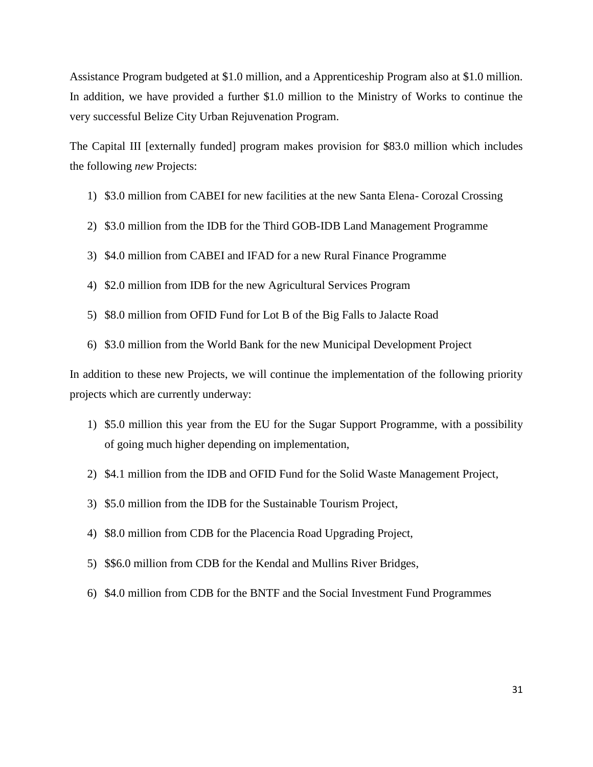Assistance Program budgeted at \$1.0 million, and a Apprenticeship Program also at \$1.0 million. In addition, we have provided a further \$1.0 million to the Ministry of Works to continue the very successful Belize City Urban Rejuvenation Program.

The Capital III [externally funded] program makes provision for \$83.0 million which includes the following *new* Projects:

- 1) \$3.0 million from CABEI for new facilities at the new Santa Elena- Corozal Crossing
- 2) \$3.0 million from the IDB for the Third GOB-IDB Land Management Programme
- 3) \$4.0 million from CABEI and IFAD for a new Rural Finance Programme
- 4) \$2.0 million from IDB for the new Agricultural Services Program
- 5) \$8.0 million from OFID Fund for Lot B of the Big Falls to Jalacte Road
- 6) \$3.0 million from the World Bank for the new Municipal Development Project

In addition to these new Projects, we will continue the implementation of the following priority projects which are currently underway:

- 1) \$5.0 million this year from the EU for the Sugar Support Programme, with a possibility of going much higher depending on implementation,
- 2) \$4.1 million from the IDB and OFID Fund for the Solid Waste Management Project,
- 3) \$5.0 million from the IDB for the Sustainable Tourism Project,
- 4) \$8.0 million from CDB for the Placencia Road Upgrading Project,
- 5) \$\$6.0 million from CDB for the Kendal and Mullins River Bridges,
- <span id="page-32-0"></span>6) \$4.0 million from CDB for the BNTF and the Social Investment Fund Programmes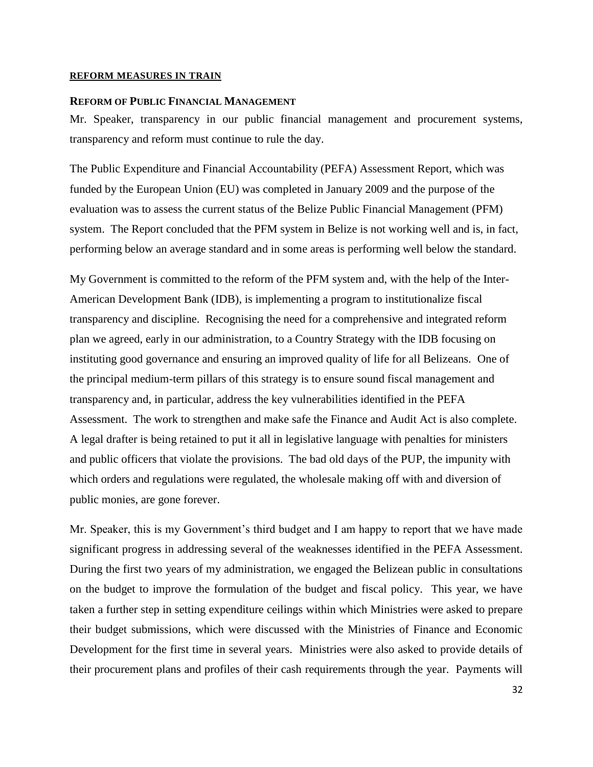#### **REFORM MEASURES IN TRAIN**

#### <span id="page-33-0"></span>**REFORM OF PUBLIC FINANCIAL MANAGEMENT**

Mr. Speaker, transparency in our public financial management and procurement systems, transparency and reform must continue to rule the day.

The Public Expenditure and Financial Accountability (PEFA) Assessment Report, which was funded by the European Union (EU) was completed in January 2009 and the purpose of the evaluation was to assess the current status of the Belize Public Financial Management (PFM) system. The Report concluded that the PFM system in Belize is not working well and is, in fact, performing below an average standard and in some areas is performing well below the standard.

My Government is committed to the reform of the PFM system and, with the help of the Inter-American Development Bank (IDB), is implementing a program to institutionalize fiscal transparency and discipline. Recognising the need for a comprehensive and integrated reform plan we agreed, early in our administration, to a Country Strategy with the IDB focusing on instituting good governance and ensuring an improved quality of life for all Belizeans. One of the principal medium-term pillars of this strategy is to ensure sound fiscal management and transparency and, in particular, address the key vulnerabilities identified in the PEFA Assessment. The work to strengthen and make safe the Finance and Audit Act is also complete. A legal drafter is being retained to put it all in legislative language with penalties for ministers and public officers that violate the provisions. The bad old days of the PUP, the impunity with which orders and regulations were regulated, the wholesale making off with and diversion of public monies, are gone forever.

Mr. Speaker, this is my Government"s third budget and I am happy to report that we have made significant progress in addressing several of the weaknesses identified in the PEFA Assessment. During the first two years of my administration, we engaged the Belizean public in consultations on the budget to improve the formulation of the budget and fiscal policy. This year, we have taken a further step in setting expenditure ceilings within which Ministries were asked to prepare their budget submissions, which were discussed with the Ministries of Finance and Economic Development for the first time in several years. Ministries were also asked to provide details of their procurement plans and profiles of their cash requirements through the year. Payments will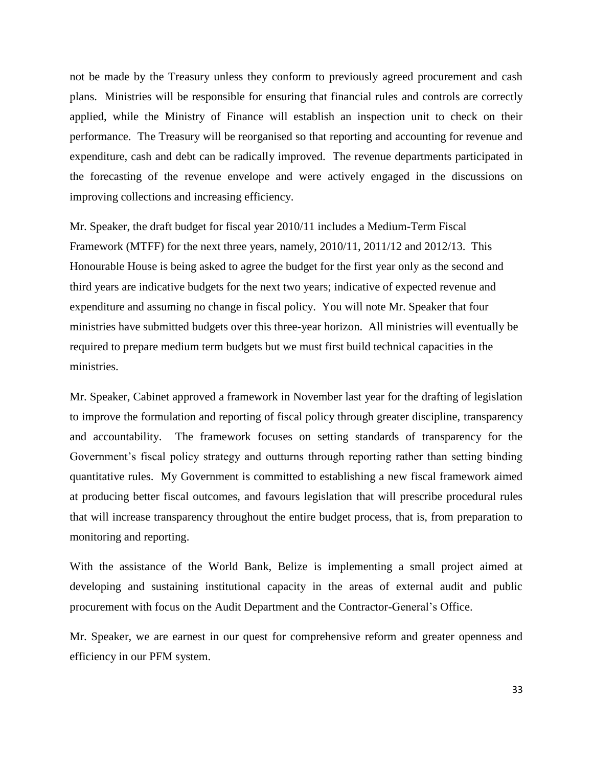not be made by the Treasury unless they conform to previously agreed procurement and cash plans. Ministries will be responsible for ensuring that financial rules and controls are correctly applied, while the Ministry of Finance will establish an inspection unit to check on their performance. The Treasury will be reorganised so that reporting and accounting for revenue and expenditure, cash and debt can be radically improved. The revenue departments participated in the forecasting of the revenue envelope and were actively engaged in the discussions on improving collections and increasing efficiency.

Mr. Speaker, the draft budget for fiscal year 2010/11 includes a Medium-Term Fiscal Framework (MTFF) for the next three years, namely, 2010/11, 2011/12 and 2012/13. This Honourable House is being asked to agree the budget for the first year only as the second and third years are indicative budgets for the next two years; indicative of expected revenue and expenditure and assuming no change in fiscal policy. You will note Mr. Speaker that four ministries have submitted budgets over this three-year horizon. All ministries will eventually be required to prepare medium term budgets but we must first build technical capacities in the ministries.

Mr. Speaker, Cabinet approved a framework in November last year for the drafting of legislation to improve the formulation and reporting of fiscal policy through greater discipline, transparency and accountability. The framework focuses on setting standards of transparency for the Government's fiscal policy strategy and outturns through reporting rather than setting binding quantitative rules. My Government is committed to establishing a new fiscal framework aimed at producing better fiscal outcomes, and favours legislation that will prescribe procedural rules that will increase transparency throughout the entire budget process, that is, from preparation to monitoring and reporting.

With the assistance of the World Bank, Belize is implementing a small project aimed at developing and sustaining institutional capacity in the areas of external audit and public procurement with focus on the Audit Department and the Contractor-General"s Office.

Mr. Speaker, we are earnest in our quest for comprehensive reform and greater openness and efficiency in our PFM system.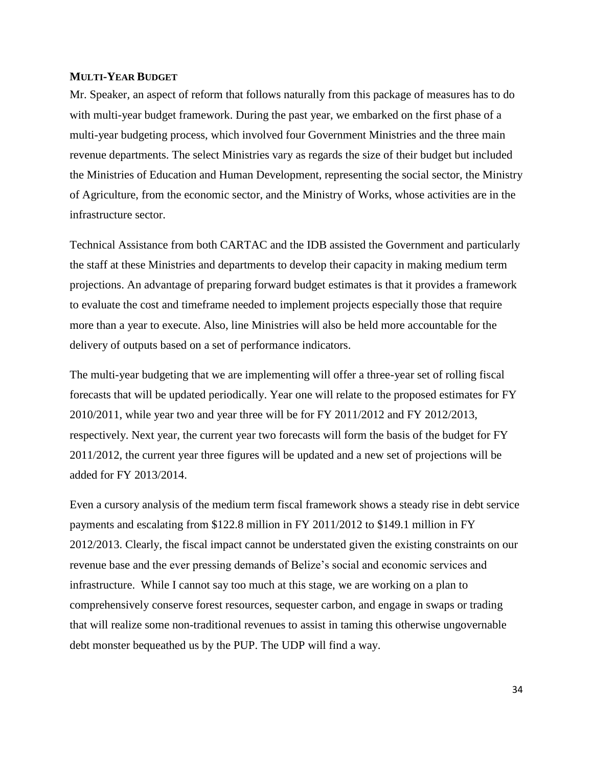#### <span id="page-35-0"></span>**MULTI-YEAR BUDGET**

Mr. Speaker, an aspect of reform that follows naturally from this package of measures has to do with multi-year budget framework. During the past year, we embarked on the first phase of a multi-year budgeting process, which involved four Government Ministries and the three main revenue departments. The select Ministries vary as regards the size of their budget but included the Ministries of Education and Human Development, representing the social sector, the Ministry of Agriculture, from the economic sector, and the Ministry of Works, whose activities are in the infrastructure sector.

Technical Assistance from both CARTAC and the IDB assisted the Government and particularly the staff at these Ministries and departments to develop their capacity in making medium term projections. An advantage of preparing forward budget estimates is that it provides a framework to evaluate the cost and timeframe needed to implement projects especially those that require more than a year to execute. Also, line Ministries will also be held more accountable for the delivery of outputs based on a set of performance indicators.

The multi-year budgeting that we are implementing will offer a three-year set of rolling fiscal forecasts that will be updated periodically. Year one will relate to the proposed estimates for FY 2010/2011, while year two and year three will be for FY 2011/2012 and FY 2012/2013, respectively. Next year, the current year two forecasts will form the basis of the budget for FY 2011/2012, the current year three figures will be updated and a new set of projections will be added for FY 2013/2014.

Even a cursory analysis of the medium term fiscal framework shows a steady rise in debt service payments and escalating from \$122.8 million in FY 2011/2012 to \$149.1 million in FY 2012/2013. Clearly, the fiscal impact cannot be understated given the existing constraints on our revenue base and the ever pressing demands of Belize"s social and economic services and infrastructure. While I cannot say too much at this stage, we are working on a plan to comprehensively conserve forest resources, sequester carbon, and engage in swaps or trading that will realize some non-traditional revenues to assist in taming this otherwise ungovernable debt monster bequeathed us by the PUP. The UDP will find a way.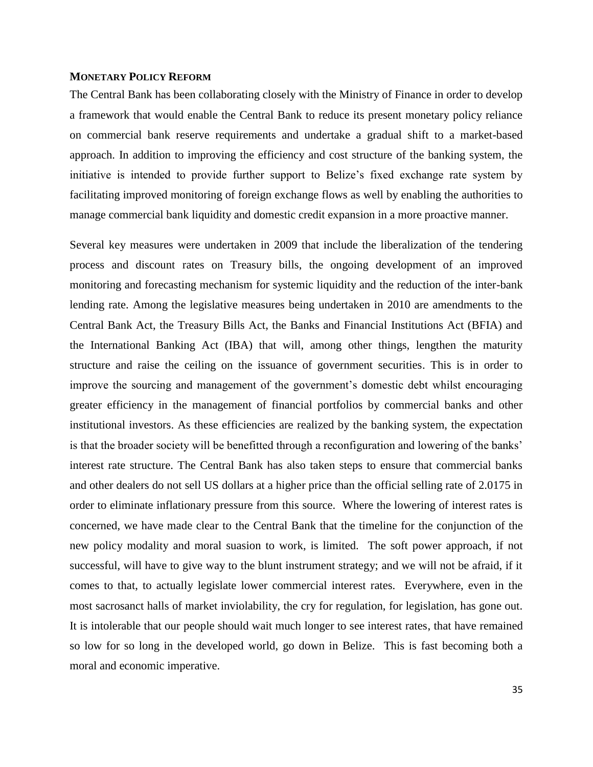#### <span id="page-36-0"></span>**MONETARY POLICY REFORM**

The Central Bank has been collaborating closely with the Ministry of Finance in order to develop a framework that would enable the Central Bank to reduce its present monetary policy reliance on commercial bank reserve requirements and undertake a gradual shift to a market-based approach. In addition to improving the efficiency and cost structure of the banking system, the initiative is intended to provide further support to Belize's fixed exchange rate system by facilitating improved monitoring of foreign exchange flows as well by enabling the authorities to manage commercial bank liquidity and domestic credit expansion in a more proactive manner.

Several key measures were undertaken in 2009 that include the liberalization of the tendering process and discount rates on Treasury bills, the ongoing development of an improved monitoring and forecasting mechanism for systemic liquidity and the reduction of the inter-bank lending rate. Among the legislative measures being undertaken in 2010 are amendments to the Central Bank Act, the Treasury Bills Act, the Banks and Financial Institutions Act (BFIA) and the International Banking Act (IBA) that will, among other things, lengthen the maturity structure and raise the ceiling on the issuance of government securities. This is in order to improve the sourcing and management of the government's domestic debt whilst encouraging greater efficiency in the management of financial portfolios by commercial banks and other institutional investors. As these efficiencies are realized by the banking system, the expectation is that the broader society will be benefitted through a reconfiguration and lowering of the banks" interest rate structure. The Central Bank has also taken steps to ensure that commercial banks and other dealers do not sell US dollars at a higher price than the official selling rate of 2.0175 in order to eliminate inflationary pressure from this source. Where the lowering of interest rates is concerned, we have made clear to the Central Bank that the timeline for the conjunction of the new policy modality and moral suasion to work, is limited. The soft power approach, if not successful, will have to give way to the blunt instrument strategy; and we will not be afraid, if it comes to that, to actually legislate lower commercial interest rates. Everywhere, even in the most sacrosanct halls of market inviolability, the cry for regulation, for legislation, has gone out. It is intolerable that our people should wait much longer to see interest rates, that have remained so low for so long in the developed world, go down in Belize. This is fast becoming both a moral and economic imperative.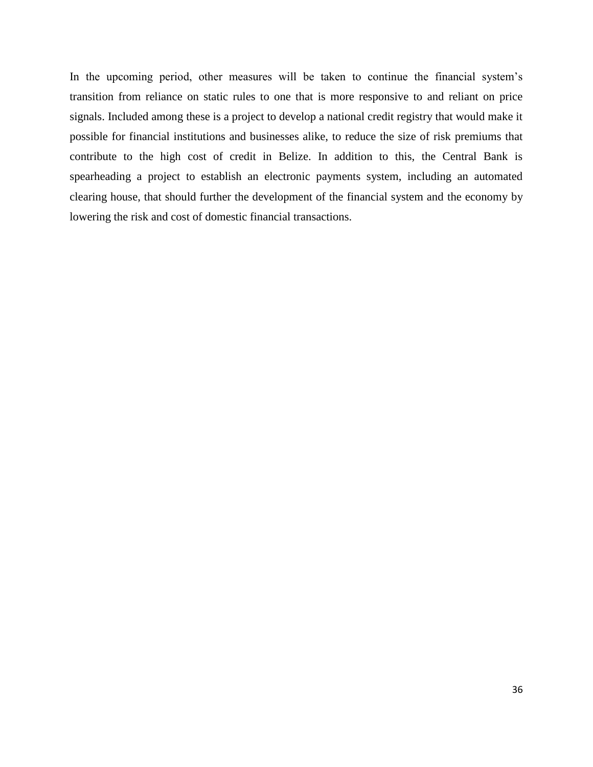In the upcoming period, other measures will be taken to continue the financial system's transition from reliance on static rules to one that is more responsive to and reliant on price signals. Included among these is a project to develop a national credit registry that would make it possible for financial institutions and businesses alike, to reduce the size of risk premiums that contribute to the high cost of credit in Belize. In addition to this, the Central Bank is spearheading a project to establish an electronic payments system, including an automated clearing house, that should further the development of the financial system and the economy by lowering the risk and cost of domestic financial transactions.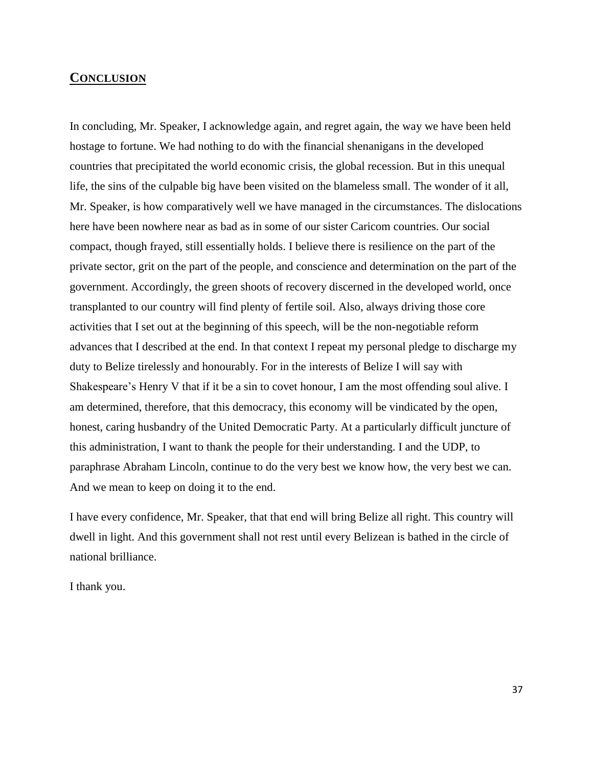## <span id="page-38-0"></span>**CONCLUSION**

In concluding, Mr. Speaker, I acknowledge again, and regret again, the way we have been held hostage to fortune. We had nothing to do with the financial shenanigans in the developed countries that precipitated the world economic crisis, the global recession. But in this unequal life, the sins of the culpable big have been visited on the blameless small. The wonder of it all, Mr. Speaker, is how comparatively well we have managed in the circumstances. The dislocations here have been nowhere near as bad as in some of our sister Caricom countries. Our social compact, though frayed, still essentially holds. I believe there is resilience on the part of the private sector, grit on the part of the people, and conscience and determination on the part of the government. Accordingly, the green shoots of recovery discerned in the developed world, once transplanted to our country will find plenty of fertile soil. Also, always driving those core activities that I set out at the beginning of this speech, will be the non-negotiable reform advances that I described at the end. In that context I repeat my personal pledge to discharge my duty to Belize tirelessly and honourably. For in the interests of Belize I will say with Shakespeare's Henry V that if it be a sin to covet honour, I am the most offending soul alive. I am determined, therefore, that this democracy, this economy will be vindicated by the open, honest, caring husbandry of the United Democratic Party. At a particularly difficult juncture of this administration, I want to thank the people for their understanding. I and the UDP, to paraphrase Abraham Lincoln, continue to do the very best we know how, the very best we can. And we mean to keep on doing it to the end.

I have every confidence, Mr. Speaker, that that end will bring Belize all right. This country will dwell in light. And this government shall not rest until every Belizean is bathed in the circle of national brilliance.

I thank you.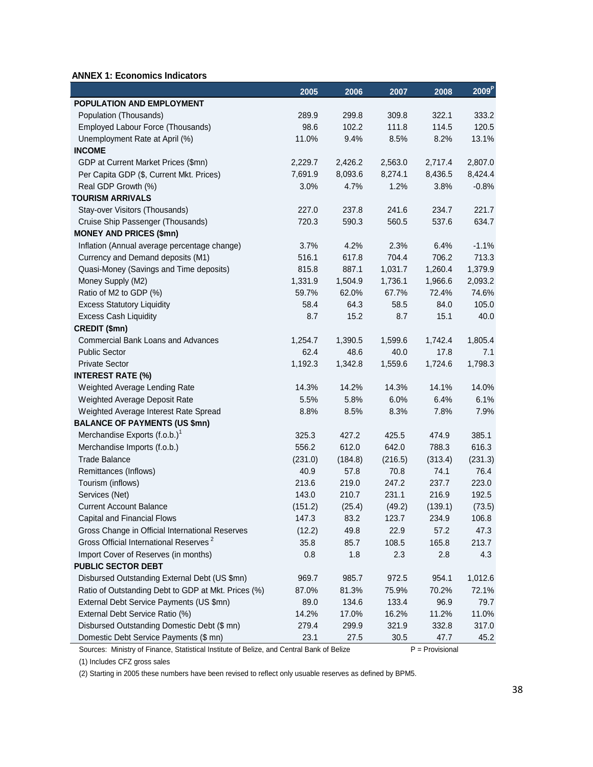## **ANNEX 1: Economics Indicators**

|                                                     | 2005    | 2006    | 2007    | 2008    | $2009^{P}$ |
|-----------------------------------------------------|---------|---------|---------|---------|------------|
| POPULATION AND EMPLOYMENT                           |         |         |         |         |            |
| Population (Thousands)                              | 289.9   | 299.8   | 309.8   | 322.1   | 333.2      |
| Employed Labour Force (Thousands)                   | 98.6    | 102.2   | 111.8   | 114.5   | 120.5      |
| Unemployment Rate at April (%)                      | 11.0%   | 9.4%    | 8.5%    | 8.2%    | 13.1%      |
| <b>INCOME</b>                                       |         |         |         |         |            |
| GDP at Current Market Prices (\$mn)                 | 2,229.7 | 2,426.2 | 2,563.0 | 2,717.4 | 2,807.0    |
| Per Capita GDP (\$, Current Mkt. Prices)            | 7,691.9 | 8,093.6 | 8,274.1 | 8,436.5 | 8,424.4    |
| Real GDP Growth (%)                                 | 3.0%    | 4.7%    | 1.2%    | 3.8%    | $-0.8%$    |
| <b>TOURISM ARRIVALS</b>                             |         |         |         |         |            |
| Stay-over Visitors (Thousands)                      | 227.0   | 237.8   | 241.6   | 234.7   | 221.7      |
| Cruise Ship Passenger (Thousands)                   | 720.3   | 590.3   | 560.5   | 537.6   | 634.7      |
| <b>MONEY AND PRICES (\$mn)</b>                      |         |         |         |         |            |
| Inflation (Annual average percentage change)        | 3.7%    | 4.2%    | 2.3%    | 6.4%    | $-1.1%$    |
| Currency and Demand deposits (M1)                   | 516.1   | 617.8   | 704.4   | 706.2   | 713.3      |
| Quasi-Money (Savings and Time deposits)             | 815.8   | 887.1   | 1,031.7 | 1,260.4 | 1,379.9    |
| Money Supply (M2)                                   | 1,331.9 | 1,504.9 | 1,736.1 | 1,966.6 | 2,093.2    |
| Ratio of M2 to GDP (%)                              | 59.7%   | 62.0%   | 67.7%   | 72.4%   | 74.6%      |
| <b>Excess Statutory Liquidity</b>                   | 58.4    | 64.3    | 58.5    | 84.0    | 105.0      |
| <b>Excess Cash Liquidity</b>                        | 8.7     | 15.2    | 8.7     | 15.1    | 40.0       |
| CREDIT (\$mn)                                       |         |         |         |         |            |
| <b>Commercial Bank Loans and Advances</b>           | 1,254.7 | 1,390.5 | 1,599.6 | 1,742.4 | 1,805.4    |
| <b>Public Sector</b>                                | 62.4    | 48.6    | 40.0    | 17.8    | 7.1        |
| <b>Private Sector</b>                               | 1,192.3 | 1,342.8 | 1,559.6 | 1,724.6 | 1,798.3    |
| <b>INTEREST RATE (%)</b>                            |         |         |         |         |            |
| Weighted Average Lending Rate                       | 14.3%   | 14.2%   | 14.3%   | 14.1%   | 14.0%      |
| Weighted Average Deposit Rate                       | 5.5%    | 5.8%    | 6.0%    | 6.4%    | 6.1%       |
| Weighted Average Interest Rate Spread               | 8.8%    | 8.5%    | 8.3%    | 7.8%    | 7.9%       |
| <b>BALANCE OF PAYMENTS (US \$mn)</b>                |         |         |         |         |            |
| Merchandise Exports (f.o.b.) <sup>1</sup>           | 325.3   | 427.2   | 425.5   | 474.9   | 385.1      |
| Merchandise Imports (f.o.b.)                        | 556.2   | 612.0   | 642.0   | 788.3   | 616.3      |
| <b>Trade Balance</b>                                | (231.0) | (184.8) | (216.5) | (313.4) | (231.3)    |
| Remittances (Inflows)                               | 40.9    | 57.8    | 70.8    | 74.1    | 76.4       |
| Tourism (inflows)                                   | 213.6   | 219.0   | 247.2   | 237.7   | 223.0      |
| Services (Net)                                      | 143.0   | 210.7   | 231.1   | 216.9   | 192.5      |
| <b>Current Account Balance</b>                      | (151.2) | (25.4)  | (49.2)  | (139.1) | (73.5)     |
| Capital and Financial Flows                         | 147.3   | 83.2    | 123.7   | 234.9   | 106.8      |
| Gross Change in Official International Reserves     | (12.2)  | 49.8    | 22.9    | 57.2    | 47.3       |
| Gross Official International Reserves <sup>2</sup>  | 35.8    | 85.7    | 108.5   | 165.8   | 213.7      |
| Import Cover of Reserves (in months)                | 0.8     | 1.8     | 2.3     | 2.8     | 4.3        |
| PUBLIC SECTOR DEBT                                  |         |         |         |         |            |
| Disbursed Outstanding External Debt (US \$mn)       | 969.7   | 985.7   | 972.5   | 954.1   | 1,012.6    |
| Ratio of Outstanding Debt to GDP at Mkt. Prices (%) | 87.0%   | 81.3%   | 75.9%   | 70.2%   | 72.1%      |
| External Debt Service Payments (US \$mn)            | 89.0    | 134.6   | 133.4   | 96.9    | 79.7       |
| External Debt Service Ratio (%)                     | 14.2%   | 17.0%   | 16.2%   | 11.2%   | 11.0%      |
| Disbursed Outstanding Domestic Debt (\$ mn)         | 279.4   | 299.9   | 321.9   | 332.8   | 317.0      |
| Domestic Debt Service Payments (\$ mn)              | 23.1    | 27.5    | 30.5    | 47.7    | 45.2       |

Sources: Ministry of Finance, Statistical Institute of Belize, and Central Bank of Belize P = Provisional

(1) Includes CFZ gross sales

(2) Starting in 2005 these numbers have been revised to reflect only usuable reserves as defined by BPM5.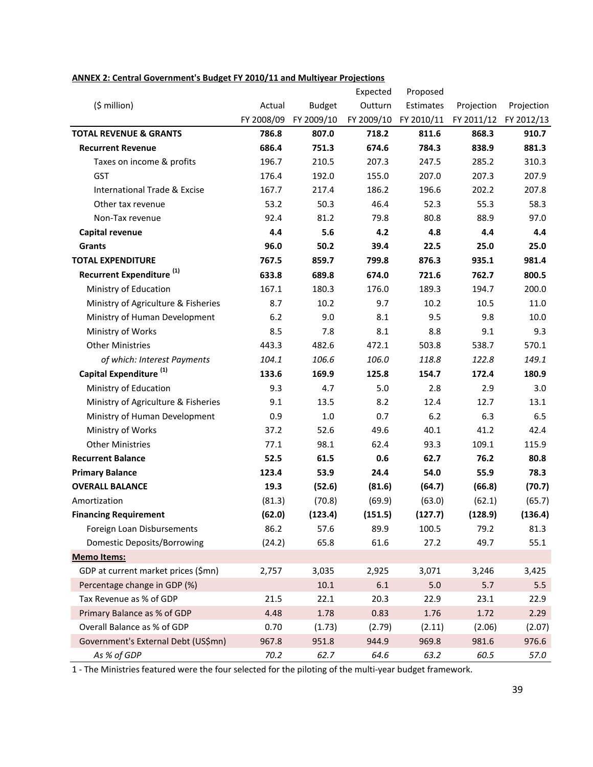|                                         |            |               | Expected | Proposed              |            |                       |
|-----------------------------------------|------------|---------------|----------|-----------------------|------------|-----------------------|
| (\$ million)                            | Actual     | <b>Budget</b> | Outturn  | Estimates             | Projection | Projection            |
|                                         | FY 2008/09 | FY 2009/10    |          | FY 2009/10 FY 2010/11 |            | FY 2011/12 FY 2012/13 |
| <b>TOTAL REVENUE &amp; GRANTS</b>       | 786.8      | 807.0         | 718.2    | 811.6                 | 868.3      | 910.7                 |
| <b>Recurrent Revenue</b>                | 686.4      | 751.3         | 674.6    | 784.3                 | 838.9      | 881.3                 |
| Taxes on income & profits               | 196.7      | 210.5         | 207.3    | 247.5                 | 285.2      | 310.3                 |
| GST                                     | 176.4      | 192.0         | 155.0    | 207.0                 | 207.3      | 207.9                 |
| <b>International Trade &amp; Excise</b> | 167.7      | 217.4         | 186.2    | 196.6                 | 202.2      | 207.8                 |
| Other tax revenue                       | 53.2       | 50.3          | 46.4     | 52.3                  | 55.3       | 58.3                  |
| Non-Tax revenue                         | 92.4       | 81.2          | 79.8     | 80.8                  | 88.9       | 97.0                  |
| Capital revenue                         | 4.4        | 5.6           | 4.2      | 4.8                   | 4.4        | 4.4                   |
| Grants                                  | 96.0       | 50.2          | 39.4     | 22.5                  | 25.0       | 25.0                  |
| <b>TOTAL EXPENDITURE</b>                | 767.5      | 859.7         | 799.8    | 876.3                 | 935.1      | 981.4                 |
| Recurrent Expenditure <sup>(1)</sup>    | 633.8      | 689.8         | 674.0    | 721.6                 | 762.7      | 800.5                 |
| Ministry of Education                   | 167.1      | 180.3         | 176.0    | 189.3                 | 194.7      | 200.0                 |
| Ministry of Agriculture & Fisheries     | 8.7        | 10.2          | 9.7      | 10.2                  | 10.5       | 11.0                  |
| Ministry of Human Development           | 6.2        | 9.0           | 8.1      | 9.5                   | 9.8        | 10.0                  |
| Ministry of Works                       | 8.5        | 7.8           | 8.1      | 8.8                   | 9.1        | 9.3                   |
| <b>Other Ministries</b>                 | 443.3      | 482.6         | 472.1    | 503.8                 | 538.7      | 570.1                 |
| of which: Interest Payments             | 104.1      | 106.6         | 106.0    | 118.8                 | 122.8      | 149.1                 |
| Capital Expenditure <sup>(1)</sup>      | 133.6      | 169.9         | 125.8    | 154.7                 | 172.4      | 180.9                 |
| Ministry of Education                   | 9.3        | 4.7           | 5.0      | 2.8                   | 2.9        | 3.0                   |
| Ministry of Agriculture & Fisheries     | 9.1        | 13.5          | 8.2      | 12.4                  | 12.7       | 13.1                  |
| Ministry of Human Development           | 0.9        | 1.0           | 0.7      | 6.2                   | 6.3        | 6.5                   |
| Ministry of Works                       | 37.2       | 52.6          | 49.6     | 40.1                  | 41.2       | 42.4                  |
| <b>Other Ministries</b>                 | 77.1       | 98.1          | 62.4     | 93.3                  | 109.1      | 115.9                 |
| <b>Recurrent Balance</b>                | 52.5       | 61.5          | 0.6      | 62.7                  | 76.2       | 80.8                  |
| <b>Primary Balance</b>                  | 123.4      | 53.9          | 24.4     | 54.0                  | 55.9       | 78.3                  |
| <b>OVERALL BALANCE</b>                  | 19.3       | (52.6)        | (81.6)   | (64.7)                | (66.8)     | (70.7)                |
| Amortization                            | (81.3)     | (70.8)        | (69.9)   | (63.0)                | (62.1)     | (65.7)                |
| <b>Financing Requirement</b>            | (62.0)     | (123.4)       | (151.5)  | (127.7)               | (128.9)    | (136.4)               |
| Foreign Loan Disbursements              | 86.2       | 57.6          | 89.9     | 100.5                 | 79.2       | 81.3                  |
| <b>Domestic Deposits/Borrowing</b>      | (24.2)     | 65.8          | 61.6     | 27.2                  | 49.7       | 55.1                  |
| <b>Memo Items:</b>                      |            |               |          |                       |            |                       |
| GDP at current market prices (\$mn)     | 2,757      | 3,035         | 2,925    | 3,071                 | 3,246      | 3,425                 |
| Percentage change in GDP (%)            |            | $10.1\,$      | 6.1      | 5.0                   | 5.7        | 5.5                   |
| Tax Revenue as % of GDP                 | 21.5       | 22.1          | 20.3     | 22.9                  | 23.1       | 22.9                  |
| Primary Balance as % of GDP             | 4.48       | 1.78          | 0.83     | 1.76                  | 1.72       | 2.29                  |
| Overall Balance as % of GDP             | 0.70       | (1.73)        | (2.79)   | (2.11)                | (2.06)     | (2.07)                |
| Government's External Debt (US\$mn)     | 967.8      | 951.8         | 944.9    | 969.8                 | 981.6      | 976.6                 |
| As % of GDP                             | 70.2       | 62.7          | 64.6     | 63.2                  | 60.5       | 57.0                  |

#### **ANNEX 2: Central Government's Budget FY 2010/11 and Multiyear Projections**

1 - The Ministries featured were the four selected for the piloting of the multi-year budget framework.